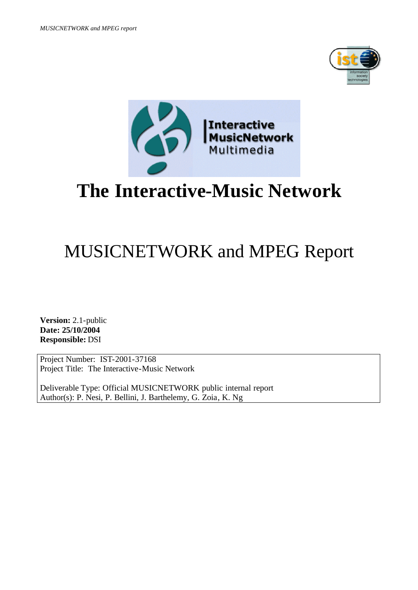



# **The Interactive-Music Network**

# MUSICNETWORK and MPEG Report

**Version:** 2.1-public **Date: 25/10/2004 Responsible:** DSI

Project Number: IST-2001-37168 Project Title: The Interactive-Music Network

Deliverable Type: Official MUSICNETWORK public internal report Author(s): P. Nesi, P. Bellini, J. Barthelemy, G. Zoia, K. Ng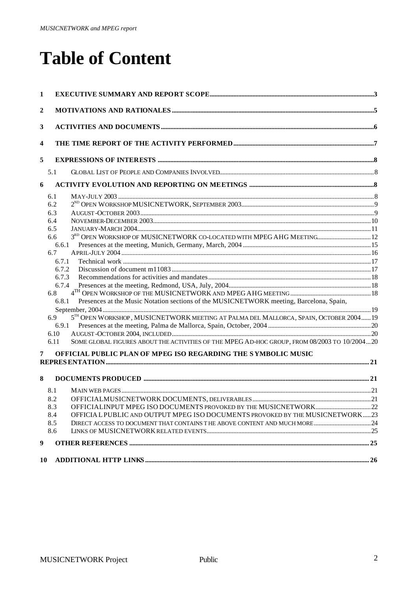# **Table of Content**

| 1  |                |                                                                                              |  |
|----|----------------|----------------------------------------------------------------------------------------------|--|
| 2  |                |                                                                                              |  |
| 3  |                |                                                                                              |  |
| 4  |                |                                                                                              |  |
| 5  |                |                                                                                              |  |
|    | 5.1            |                                                                                              |  |
| 6  |                |                                                                                              |  |
|    | 6.1            |                                                                                              |  |
|    | 6.2            |                                                                                              |  |
|    | 6.3            |                                                                                              |  |
|    | 6.4            |                                                                                              |  |
|    | 6.5            |                                                                                              |  |
|    | 6.6            | 3RD OPEN WORKSHOP OF MUSICNETWORK CO-LOCATED WITH MPEG AHG MEETING 12                        |  |
|    | 6.6.1          |                                                                                              |  |
|    | 6.7            |                                                                                              |  |
|    | 6.7.1<br>6.7.2 |                                                                                              |  |
|    | 6.7.3          |                                                                                              |  |
|    | 6.7.4          |                                                                                              |  |
|    | 6.8            |                                                                                              |  |
|    | 6.8.1          | Presences at the Music Notation sections of the MUSICNETWORK meeting, Barcelona, Spain,      |  |
|    | 6.9            | 5TH OPEN WORKSHOP, MUSICNETWORK MEETING AT PALMA DEL MALLORCA, SPAIN, OCTOBER 2004 19        |  |
|    | 6.9.1          |                                                                                              |  |
|    | 6.10           |                                                                                              |  |
|    | 6.11           | SOME GLOBAL FIGURES ABOUT THE ACTIVITIES OF THE MPEG AD-HOC GROUP, FROM 08/2003 TO 10/200420 |  |
| 7  |                | OFFICIAL PUBLIC PLAN OF MPEG ISO REGARDING THE SYMBOLIC MUSIC                                |  |
|    |                |                                                                                              |  |
| 8  |                |                                                                                              |  |
|    | 8.1            |                                                                                              |  |
|    | 8.2            |                                                                                              |  |
|    | 8.3            |                                                                                              |  |
|    | 8.4            | OFFICIAL PUBLIC AND OUTPUT MPEG ISO DOCUMENTS PROVOKED BY THE MUSICNETWORK23                 |  |
|    | 8.5            |                                                                                              |  |
|    | 8.6            |                                                                                              |  |
| 9  |                |                                                                                              |  |
| 10 |                |                                                                                              |  |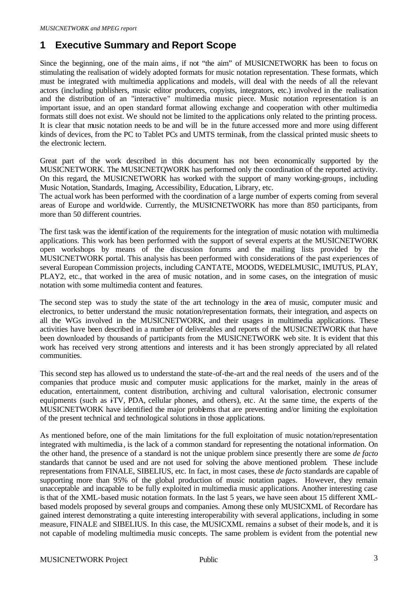# **1 Executive Summary and Report Scope**

Since the beginning, one of the main aims, if not "the aim" of MUSICNETWORK has been to focus on stimulating the realisation of widely adopted formats for music notation representation. These formats, which must be integrated with multimedia applications and models, will deal with the needs of all the relevant actors (including publishers, music editor producers, copyists, integrators, etc.) involved in the realisation and the distribution of an "interactive" multimedia music piece. Music notation representation is an important issue, and an open standard format allowing exchange and cooperation with other multimedia formats still does not exist. We should not be limited to the applications only related to the printing process. It is clear that music notation needs to be and will be in the future accessed more and more using different kinds of devices, from the PC to Tablet PCs and UMTS terminals, from the classical printed music sheets to the electronic lectern.

Great part of the work described in this document has not been economically supported by the MUSICNETWORK. The MUSICNETQWORK has performed only the coordination of the reported activity. On this regard, the MUSICNETWORK has worked with the support of many working-groups, including Music Notation, Standards, Imaging, Accessibility, Education, Library, etc.

The actual work has been performed with the coordination of a large number of experts coming from several areas of Europe and worldwide. Currently, the MUSICNETWORK has more than 850 participants, from more than 50 different countries.

The first task was the identification of the requirements for the integration of music notation with multimedia applications. This work has been performed with the support of several experts at the MUSICNETWORK open workshops by means of the discussion forums and the mailing lists provided by the MUSICNETWORK portal. This analysis has been performed with considerations of the past experiences of several European Commission projects, including CANTATE, MOODS, WEDELMUSIC, IMUTUS, PLAY, PLAY2, etc., that worked in the area of music notation, and in some cases, on the integration of music notation with some multimedia content and features.

The second step was to study the state of the art technology in the area of music, computer music and electronics, to better understand the music notation/representation formats, their integration, and aspects on all the WGs involved in the MUSICNETWORK, and their usages in multimedia applications. These activities have been described in a number of deliverables and reports of the MUSICNETWORK that have been downloaded by thousands of participants from the MUSICNETWORK web site. It is evident that this work has received very strong attentions and interests and it has been strongly appreciated by all related communities.

This second step has allowed us to understand the state-of-the-art and the real needs of the users and of the companies that produce music and computer music applications for the market, mainly in the areas of education, entertainment, content distribution, archiving and cultural valorisation, electronic consumer equipments (such as  $\overline{r}$ V, PDA, cellular phones, and others), etc. At the same time, the experts of the MUSICNETWORK have identified the major problems that are preventing and/or limiting the exploitation of the present technical and technological solutions in those applications.

As mentioned before, one of the main limitations for the full exploitation of music notation/representation integrated with multimedia , is the lack of a common standard for representing the notational information. On the other hand, the presence of a standard is not the unique problem since presently there are some *de facto* standards that cannot be used and are not used for solving the above mentioned problem. These include representations from FINALE, SIBELIUS, etc. In fact, in most cases, these *de facto* standards are capable of supporting more than 95% of the global production of music notation pages. However, they remain unacceptable and incapable to be fully exploited in multimedia music applications. Another interesting case is that of the XML-based music notation formats. In the last 5 years, we have seen about 15 different XMLbased models proposed by several groups and companies. Among these only MUSICXML of Recordare has gained interest demonstrating a quite interesting interoperability with several applications, including in some measure, FINALE and SIBELIUS. In this case, the MUSICXML remains a subset of their mode ls, and it is not capable of modeling multimedia music concepts. The same problem is evident from the potential new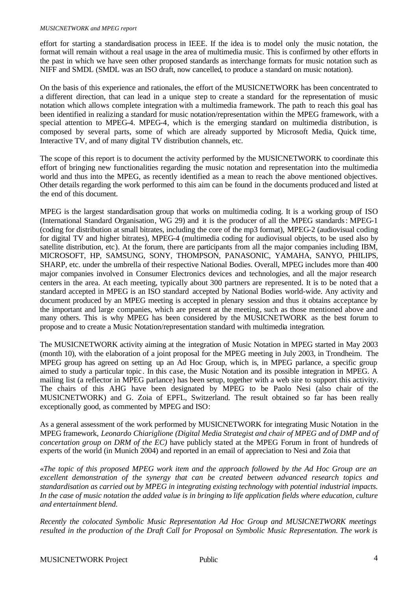#### *MUSICNETWORK and MPEG report*

effort for starting a standardisation process in IEEE. If the idea is to model only the music notation, the format will remain without a real usage in the area of multimedia music. This is confirmed by other efforts in the past in which we have seen other proposed standards as interchange formats for music notation such as NIFF and SMDL (SMDL was an ISO draft, now cancelled, to produce a standard on music notation).

On the basis of this experience and rationales, the effort of the MUSICNETWORK has been concentrated to a different direction, that can lead in a unique step to create a standard for the representation of music notation which allows complete integration with a multimedia framework. The path to reach this goal has been identified in realizing a standard for music notation/representation within the MPEG framework, with a special attention to MPEG-4. MPEG-4, which is the emerging standard on multimedia distribution, is composed by several parts, some of which are already supported by Microsoft Media, Quick time, Interactive TV, and of many digital TV distribution channels, etc.

The scope of this report is to document the activity performed by the MUSICNETWORK to coordinate this effort of bringing new functionalities regarding the music notation and representation into the multimedia world and thus into the MPEG, as recently identified as a mean to reach the above mentioned objectives. Other details regarding the work performed to this aim can be found in the documents produced and listed at the end of this document.

MPEG is the largest standardisation group that works on multimedia coding. It is a working group of ISO (International Standard Organisation, WG 29) and it is the producer of all the MPEG standards: MPEG-1 (coding for distribution at small bitrates, including the core of the mp3 format), MPEG-2 (audiovisual coding for digital TV and higher bitrates), MPEG-4 (multimedia coding for audiovisual objects, to be used also by satellite distribution, etc). At the forum, there are participants from all the major companies including IBM, MICROSOFT, HP, SAMSUNG, SONY, THOMPSON, PANASONIC, YAMAHA, SANYO, PHILIPS, SHARP, etc. under the umbrella of their respective National Bodies. Overall, MPEG includes more than 400 major companies involved in Consumer Electronics devices and technologies, and all the major research centers in the area. At each meeting, typically about 300 partners are represented. It is to be noted that a standard accepted in MPEG is an ISO standard accepted by National Bodies world-wide. Any activity and document produced by an MPEG meeting is accepted in plenary session and thus it obtains acceptance by the important and large companies, which are present at the meeting, such as those mentioned above and many others. This is why MPEG has been considered by the MUSICNETWORK as the best forum to propose and to create a Music Notation/representation standard with multimedia integration.

The MUSICNETWORK activity aiming at the integration of Music Notation in MPEG started in May 2003 (month 10), with the elaboration of a joint proposal for the MPEG meeting in July 2003, in Trondheim. The MPEG group has agreed on setting up an Ad Hoc Group, which is, in MPEG parlance, a specific group aimed to study a particular topic . In this case, the Music Notation and its possible integration in MPEG. A mailing list (a reflector in MPEG parlance) has been setup, together with a web site to support this activity. The chairs of this AHG have been designated by MPEG to be Paolo Nesi (also chair of the MUSICNETWORK) and G. Zoia of EPFL, Switzerland. The result obtained so far has been really exceptionally good, as commented by MPEG and ISO:

As a general assessment of the work performed by MUSICNETWORK for integrating Music Notation in the MPEG framework, *Leonardo Chiariglione (Digital Media Strategist and chair of MPEG and of DMP and of concertation group on DRM of the EC)* have publicly stated at the MPEG Forum in front of hundreds of experts of the world (in Munich 2004) and reported in an email of appreciation to Nesi and Zoia that

«*The topic of this proposed MPEG work item and the approach followed by the Ad Hoc Group are an excellent demonstration of the synergy that can be created between advanced research topics and standardisation as carried out by MPEG in integrating existing technology with potential industrial impacts.*  In the case of music notation the added value is in bringing to life application fields where education, culture *and entertainment blend.*

*Recently the colocated Symbolic Music Representation Ad Hoc Group and MUSICNETWORK meetings resulted in the production of the Draft Call for Proposal on Symbolic Music Representation. The work is*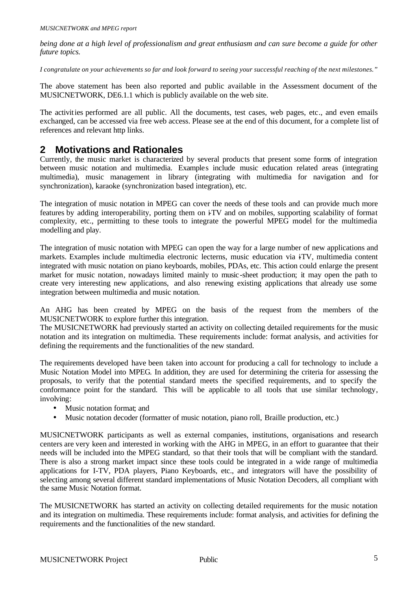*being done at a high level of professionalism and great enthusiasm and can sure become a guide for other future topics.*

*I congratulate on your achievements so far and look forward to seeing your successful reaching of the next milestones."*

The above statement has been also reported and public available in the Assessment document of the MUSICNETWORK, DE6.1.1 which is publicly available on the web site.

The activities performed are all public. All the documents, test cases, web pages, etc., and even emails exchanged, can be accessed via free web access. Please see at the end of this document, for a complete list of references and relevant http links.

## **2 Motivations and Rationales**

Currently, the music market is characterized by several products that present some forms of integration between music notation and multimedia. Examples include music education related areas (integrating multimedia), music management in library (integrating with multimedia for navigation and for synchronization), karaoke (synchronization based integration), etc.

The integration of music notation in MPEG can cover the needs of these tools and can provide much more features by adding interoperability, porting them on i-TV and on mobiles, supporting scalability of format complexity, etc., permitting to these tools to integrate the powerful MPEG model for the multimedia modelling and play.

The integration of music notation with MPEG can open the way for a large number of new applications and markets. Examples include multimedia electronic lecterns, music education via iTV, multimedia content integrated with music notation on piano keyboards, mobiles, PDAs, etc. This action could enlarge the present market for music notation, nowadays limited mainly to music-sheet production; it may open the path to create very interesting new applications, and also renewing existing applications that already use some integration between multimedia and music notation.

An AHG has been created by MPEG on the basis of the request from the members of the MUSICNETWORK to explore further this integration.

The MUSICNETWORK had previously started an activity on collecting detailed requirements for the music notation and its integration on multimedia. These requirements include: format analysis, and activities for defining the requirements and the functionalities of the new standard.

The requirements developed have been taken into account for producing a call for technology to include a Music Notation Model into MPEG. In addition, they are used for determining the criteria for assessing the proposals, to verify that the potential standard meets the specified requirements, and to specify the conformance point for the standard. This will be applicable to all tools that use similar technology, involving:

- Music notation format; and
- Music notation decoder (formatter of music notation, piano roll, Braille production, etc.)

MUSICNETWORK participants as well as external companies, institutions, organisations and research centers are very keen and interested in working with the AHG in MPEG, in an effort to guarantee that their needs will be included into the MPEG standard, so that their tools that will be compliant with the standard. There is also a strong market impact since these tools could be integrated in a wide range of multimedia applications for I-TV, PDA players, Piano Keyboards, etc., and integrators will have the possibility of selecting among several different standard implementations of Music Notation Decoders, all compliant with the same Music Notation format.

The MUSICNETWORK has started an activity on collecting detailed requirements for the music notation and its integration on multimedia. These requirements include: format analysis, and activities for defining the requirements and the functionalities of the new standard.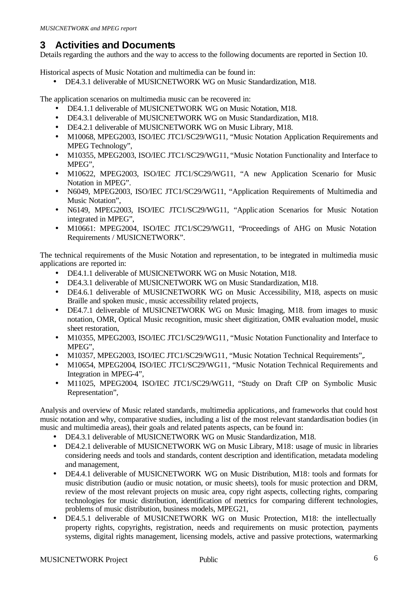# **3 Activities and Documents**

Details regarding the authors and the way to access to the following documents are reported in Section 10.

Historical aspects of Music Notation and multimedia can be found in:

• DE4.3.1 deliverable of MUSICNETWORK WG on Music Standardization, M18.

The application scenarios on multimedia music can be recovered in:

- DE4.1.1 deliverable of MUSICNETWORK WG on Music Notation, M18.
- DE4.3.1 deliverable of MUSICNETWORK WG on Music Standardization, M18.
- DE4.2.1 deliverable of MUSICNETWORK WG on Music Library, M18.
- M10068, MPEG2003, ISO/IEC JTC1/SC29/WG11, "Music Notation Application Requirements and MPEG Technology",
- M10355, MPEG2003, ISO/IEC JTC1/SC29/WG11, "Music Notation Functionality and Interface to MPEG",
- M10622, MPEG2003, ISO/IEC JTC1/SC29/WG11, "A new Application Scenario for Music Notation in MPEG".
- N6049, MPEG2003, ISO/IEC JTC1/SC29/WG11, "Application Requirements of Multimedia and Music Notation",
- N6149, MPEG2003, ISO/IEC JTC1/SC29/WG11, "Applic ation Scenarios for Music Notation integrated in MPEG",
- M10661: MPEG2004, ISO/IEC JTC1/SC29/WG11, "Proceedings of AHG on Music Notation Requirements / MUSICNETWORK".

The technical requirements of the Music Notation and representation, to be integrated in multimedia music applications are reported in:

- DE4.1.1 deliverable of MUSICNETWORK WG on Music Notation, M18.
- DE4.3.1 deliverable of MUSICNETWORK WG on Music Standardization, M18.
- DE4.6.1 deliverable of MUSICNETWORK WG on Music Accessibility, M18, aspects on music Braille and spoken music , music accessibility related projects,
- DE4.7.1 deliverable of MUSICNETWORK WG on Music Imaging, M18. from images to music notation, OMR, Optical Music recognition, music sheet digitization, OMR evaluation model, music sheet restoration,
- M10355, MPEG2003, ISO/IEC JTC1/SC29/WG11, "Music Notation Functionality and Interface to MPEG",
- M10357, MPEG2003, ISO/IEC JTC1/SC29/WG11, "Music Notation Technical Requirements",.
- M10654, MPEG2004, ISO/IEC JTC1/SC29/WG11, "Music Notation Technical Requirements and Integration in MPEG-4",
- M11025, MPEG2004, ISO/IEC JTC1/SC29/WG11, "Study on Draft CfP on Symbolic Music Representation",

Analysis and overview of Music related standards, multimedia applications, and frameworks that could host music notation and why, comparative studies, including a list of the most relevant standardisation bodies (in music and multimedia areas), their goals and related patents aspects, can be found in:

- DE4.3.1 deliverable of MUSICNETWORK WG on Music Standardization, M18.
- DE4.2.1 deliverable of MUSICNETWORK WG on Music Library, M18: usage of music in libraries considering needs and tools and standards, content description and identification, metadata modeling and management,
- DE4.4.1 deliverable of MUSICNETWORK WG on Music Distribution, M18: tools and formats for music distribution (audio or music notation, or music sheets), tools for music protection and DRM, review of the most relevant projects on music area, copy right aspects, collecting rights, comparing technologies for music distribution, identification of metrics for comparing different technologies, problems of music distribution, business models, MPEG21,
- DE4.5.1 deliverable of MUSICNETWORK WG on Music Protection, M18: the intellectually property rights, copyrights, registration, needs and requirements on music protection, payments systems, digital rights management, licensing models, active and passive protections, watermarking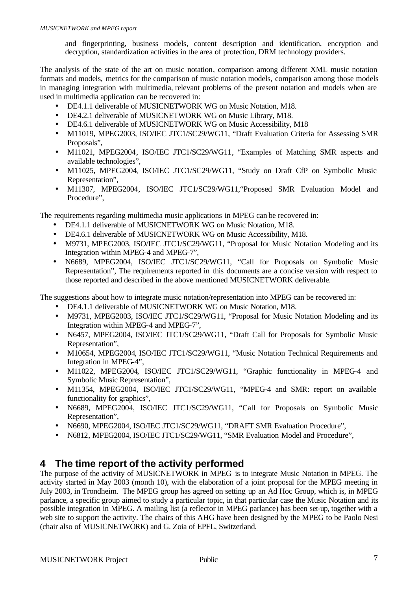and fingerprinting, business models, content description and identification, encryption and decryption, standardization activities in the area of protection, DRM technology providers.

The analysis of the state of the art on music notation, comparison among different XML music notation formats and models, metrics for the comparison of music notation models, comparison among those models in managing integration with multimedia, relevant problems of the present notation and models when are used in multimedia application can be recovered in:

- DE4.1.1 deliverable of MUSICNETWORK WG on Music Notation, M18.
- DE4.2.1 deliverable of MUSICNETWORK WG on Music Library, M18.
- DE4.6.1 deliverable of MUSICNETWORK WG on Music Accessibility, M18
- M11019, MPEG2003, ISO/IEC JTC1/SC29/WG11, "Draft Evaluation Criteria for Assessing SMR Proposals",
- M11021, MPEG2004, ISO/IEC JTC1/SC29/WG11, "Examples of Matching SMR aspects and available technologies",
- M11025, MPEG2004, ISO/IEC JTC1/SC29/WG11, "Study on Draft CfP on Symbolic Music Representation",
- M11307, MPEG2004, ISO/IEC JTC1/SC29/WG11,"Proposed SMR Evaluation Model and Procedure",

The requirements regarding multimedia music applications in MPEG can be recovered in:

- DE4.1.1 deliverable of MUSICNETWORK WG on Music Notation, M18.
- DE4.6.1 deliverable of MUSICNETWORK WG on Music Accessibility, M18.
- M9731, MPEG2003, ISO/IEC JTC1/SC29/WG11, "Proposal for Music Notation Modeling and its Integration within MPEG-4 and MPEG-7",
- N6689, MPEG2004, ISO/IEC JTC1/SC29/WG11, "Call for Proposals on Symbolic Music Representation", The requirements reported in this documents are a concise version with respect to those reported and described in the above mentioned MUSICNETWORK deliverable.

The suggestions about how to integrate music notation/representation into MPEG can be recovered in:

- DE4.1.1 deliverable of MUSICNETWORK WG on Music Notation, M18.
- M9731, MPEG2003, ISO/IEC JTC1/SC29/WG11, "Proposal for Music Notation Modeling and its Integration within MPEG-4 and MPEG-7",
- N6457, MPEG2004, ISO/IEC JTC1/SC29/WG11, "Draft Call for Proposals for Symbolic Music Representation",
- M10654, MPEG2004, ISO/IEC JTC1/SC29/WG11, "Music Notation Technical Requirements and Integration in MPEG-4",
- M11022, MPEG2004, ISO/IEC JTC1/SC29/WG11, "Graphic functionality in MPEG-4 and Symbolic Music Representation",
- M11354, MPEG2004, ISO/IEC JTC1/SC29/WG11, "MPEG-4 and SMR: report on available functionality for graphics",
- N6689, MPEG2004, ISO/IEC JTC1/SC29/WG11, "Call for Proposals on Symbolic Music Representation",
- N6690, MPEG2004, ISO/IEC JTC1/SC29/WG11, "DRAFT SMR Evaluation Procedure",
- N6812, MPEG2004, ISO/IEC JTC1/SC29/WG11, "SMR Evaluation Model and Procedure",

# **4 The time report of the activity performed**

The purpose of the activity of MUSICNETWORK in MPEG is to integrate Music Notation in MPEG. The activity started in May 2003 (month 10), with the elaboration of a joint proposal for the MPEG meeting in July 2003, in Trondheim. The MPEG group has agreed on setting up an Ad Hoc Group, which is, in MPEG parlance, a specific group aimed to study a particular topic, in that particular case the Music Notation and its possible integration in MPEG. A mailing list (a reflector in MPEG parlance) has been set-up, together with a web site to support the activity. The chairs of this AHG have been designed by the MPEG to be Paolo Nesi (chair also of MUSICNETWORK) and G. Zoia of EPFL, Switzerland.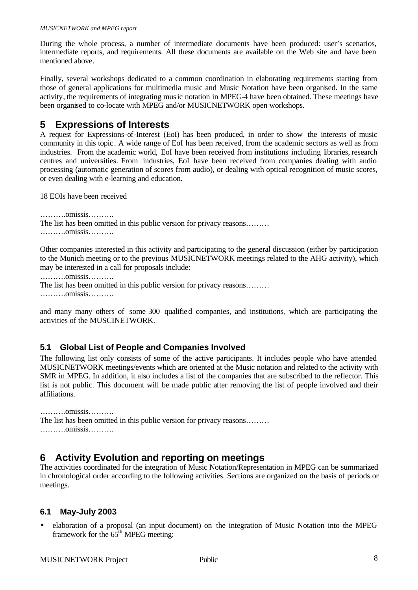During the whole process, a number of intermediate documents have been produced: user's scenarios, intermediate reports, and requirements. All these documents are available on the Web site and have been mentioned above.

Finally, several workshops dedicated to a common coordination in elaborating requirements starting from those of general applications for multimedia music and Music Notation have been organised. In the same activity, the requirements of integrating music notation in MPEG-4 have been obtained. These meetings have been organised to co-locate with MPEG and/or MUSICNETWORK open workshops.

# **5 Expressions of Interests**

A request for Expressions-of-Interest (EoI) has been produced, in order to show the interests of music community in this topic . A wide range of EoI has been received, from the academic sectors as well as from industries. From the academic world, EoI have been received from institutions including libraries, research centres and universities. From industries, EoI have been received from companies dealing with audio processing (automatic generation of scores from audio), or dealing with optical recognition of music scores, or even dealing with e-learning and education.

18 EOIs have been received

……….omissis………. The list has been omitted in this public version for privacy reasons……… ……….omissis……….

Other companies interested in this activity and participating to the general discussion (either by participation to the Munich meeting or to the previous MUSICNETWORK meetings related to the AHG activity), which may be interested in a call for proposals include:

……….omissis……….

The list has been omitted in this public version for privacy reasons……… ……….omissis……….

and many many others of some 300 qualified companies, and institutions, which are participating the activities of the MUSCINETWORK.

## **5.1 Global List of People and Companies Involved**

The following list only consists of some of the active participants. It includes people who have attended MUSICNETWORK meetings/events which are oriented at the Music notation and related to the activity with SMR in MPEG. In addition, it also includes a list of the companies that are subscribed to the reflector. This list is not public. This document will be made public after removing the list of people involved and their affiliations.

……….omissis………. The list has been omitted in this public version for privacy reasons……… ……….omissis……….

## **6 Activity Evolution and reporting on meetings**

The activities coordinated for the integration of Music Notation/Representation in MPEG can be summarized in chronological order according to the following activities. Sections are organized on the basis of periods or meetings.

#### **6.1 May-July 2003**

• elaboration of a proposal (an input document) on the integration of Music Notation into the MPEG framework for the  $65<sup>th</sup>$  MPEG meeting: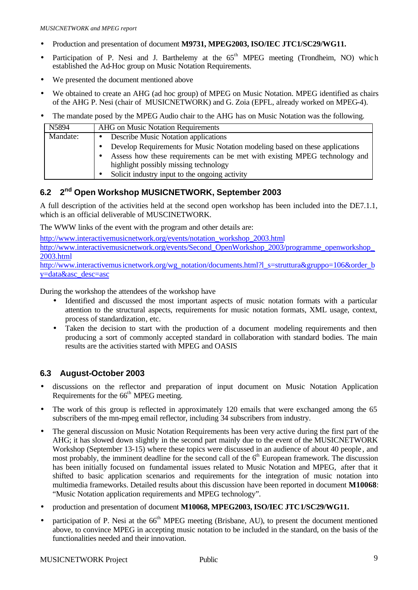- Production and presentation of document **M9731, MPEG2003, ISO/IEC JTC1/SC29/WG11.**
- Participation of P. Nesi and J. Barthelemy at the  $65<sup>th</sup>$  MPEG meeting (Trondheim, NO) which established the Ad-Hoc group on Music Notation Requirements.
- We presented the document mentioned above
- We obtained to create an AHG (ad hoc group) of MPEG on Music Notation. MPEG identified as chairs of the AHG P. Nesi (chair of MUSICNETWORK) and G. Zoia (EPFL, already worked on MPEG-4).
- The mandate posed by the MPEG Audio chair to the AHG has on Music Notation was the following.

| N5894    | AHG on Music Notation Requirements                                           |  |  |
|----------|------------------------------------------------------------------------------|--|--|
| Mandate: | <b>Describe Music Notation applications</b>                                  |  |  |
|          | Develop Requirements for Music Notation modeling based on these applications |  |  |
|          | Assess how these requirements can be met with existing MPEG technology and   |  |  |
|          | highlight possibly missing technology                                        |  |  |
|          | Solicit industry input to the ongoing activity                               |  |  |

#### **6.2 2 nd Open Workshop MUSICNETWORK, September 2003**

A full description of the activities held at the second open workshop has been included into the DE7.1.1, which is an official deliverable of MUSCINETWORK.

The WWW links of the event with the program and other details are:

http://www.interactivemusicnetwork.org/events/notation\_workshop\_2003.html http://www.interactivemusicnetwork.org/events/Second\_OpenWorkshop\_2003/programme\_openworkshop 2003.html

http://www.interactivemusicnetwork.org/wg\_notation/documents.html?l\_s=struttura&gruppo=106&order\_b y=data&asc\_desc=asc

During the workshop the attendees of the workshop have

- Identified and discussed the most important aspects of music notation formats with a particular attention to the structural aspects, requirements for music notation formats, XML usage, context, process of standardization, etc.
- Taken the decision to start with the production of a document modeling requirements and then producing a sort of commonly accepted standard in collaboration with standard bodies. The main results are the activities started with MPEG and OASIS

## **6.3 August-October 2003**

- discussions on the reflector and preparation of input document on Music Notation Application Requirements for the 66<sup>th</sup> MPEG meeting.
- The work of this group is reflected in approximately 120 emails that were exchanged among the 65 subscribers of the mn-mpeg email reflector, including 34 subscribers from industry.
- The general discussion on Music Notation Requirements has been very active during the first part of the AHG; it has slowed down slightly in the second part mainly due to the event of the MUSICNETWORK Workshop (September 13-15) where these topics were discussed in an audience of about 40 people , and most probably, the imminent deadline for the second call of the  $6<sup>th</sup>$  European framework. The discussion has been initially focused on fundamental issues related to Music Notation and MPEG, after that it shifted to basic application scenarios and requirements for the integration of music notation into multimedia frameworks. Detailed results about this discussion have been reported in document **M10068**: "Music Notation application requirements and MPEG technology".
- production and presentation of document **M10068, MPEG2003, ISO/IEC JTC1/SC29/WG11.**
- participation of P. Nesi at the 66<sup>th</sup> MPEG meeting (Brisbane, AU), to present the document mentioned above, to convince MPEG in accepting music notation to be included in the standard, on the basis of the functionalities needed and their innovation.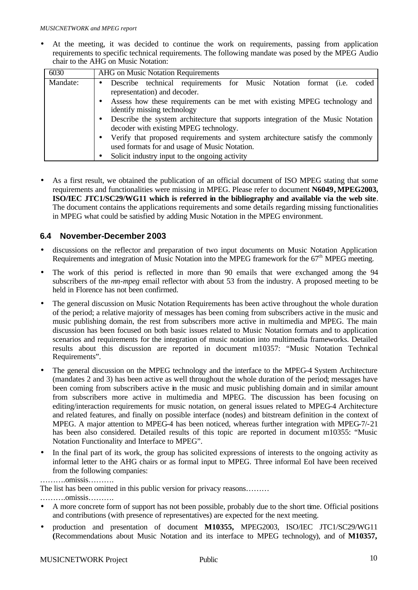• At the meeting, it was decided to continue the work on requirements, passing from application requirements to specific technical requirements. The following mandate was posed by the MPEG Audio chair to the AHG on Music Notation:

| 6030     | AHG on Music Notation Requirements                                                                                                           |  |  |  |  |  |
|----------|----------------------------------------------------------------------------------------------------------------------------------------------|--|--|--|--|--|
| Mandate: | Describe technical requirements for Music Notation format (i.e.<br>coded<br>$\bullet$<br>representation) and decoder.                        |  |  |  |  |  |
|          | Assess how these requirements can be met with existing MPEG technology and<br>$\bullet$<br>identify missing technology                       |  |  |  |  |  |
|          | Describe the system architecture that supports integration of the Music Notation<br>$\bullet$<br>decoder with existing MPEG technology.      |  |  |  |  |  |
|          | Verify that proposed requirements and system architecture satisfy the commonly<br>$\bullet$<br>used formats for and usage of Music Notation. |  |  |  |  |  |
|          | Solicit industry input to the ongoing activity<br>$\bullet$                                                                                  |  |  |  |  |  |

• As a first result, we obtained the publication of an official document of ISO MPEG stating that some requirements and functionalities were missing in MPEG. Please refer to document **N6049, MPEG2003, ISO/IEC JTC1/SC29/WG11 which is referred in the bibliography and available via the web site**. The document contains the applications requirements and some details regarding missing functionalities in MPEG what could be satisfied by adding Music Notation in the MPEG environment.

#### **6.4 November-December 2003**

- discussions on the reflector and preparation of two input documents on Music Notation Application Requirements and integration of Music Notation into the MPEG framework for the  $67<sup>th</sup>$  MPEG meeting.
- The work of this period is reflected in more than 90 emails that were exchanged among the 94 subscribers of the *mn-mpeg* email reflector with about 53 from the industry. A proposed meeting to be held in Florence has not been confirmed.
- The general discussion on Music Notation Requirements has been active throughout the whole duration of the period; a relative majority of messages has been coming from subscribers active in the music and music publishing domain, the rest from subscribers more active in multimedia and MPEG. The main discussion has been focused on both basic issues related to Music Notation formats and to application scenarios and requirements for the integration of music notation into multimedia frameworks. Detailed results about this discussion are reported in document m10357: "Music Notation Technical Requirements".
- The general discussion on the MPEG technology and the interface to the MPEG-4 System Architecture (mandates 2 and 3) has been active as well throughout the whole duration of the period; messages have been coming from subscribers active in the music and music publishing domain and in similar amount from subscribers more active in multimedia and MPEG. The discussion has been focusing on editing/interaction requirements for music notation, on general issues related to MPEG-4 Architecture and related features, and finally on possible interface (nodes) and bitstream definition in the context of MPEG. A major attention to MPEG-4 has been noticed, whereas further integration with MPEG-7/-21 has been also considered. Detailed results of this topic are reported in document m10355: "Music Notation Functionality and Interface to MPEG".
- In the final part of its work, the group has solicited expressions of interests to the ongoing activity as informal letter to the AHG chairs or as formal input to MPEG. Three informal EoI have been received from the following companies:

The list has been omitted in this public version for privacy reasons………

……….omissis……….

- A more concrete form of support has not been possible, probably due to the short time. Official positions and contributions (with presence of representatives) are expected for the next meeting.
- production and presentation of document **M10355,** MPEG2003, ISO/IEC JTC1/SC29/WG11 **(**Recommendations about Music Notation and its interface to MPEG technology), and of **M10357,**

<sup>……….</sup>omissis……….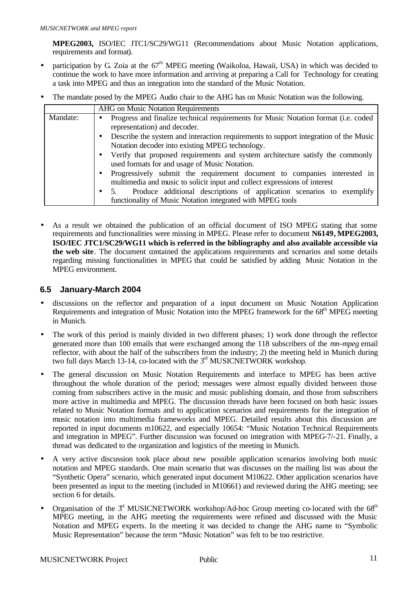**MPEG2003,** ISO/IEC JTC1/SC29/WG11 (Recommendations about Music Notation applications, requirements and format).

- participation by G. Zoia at the  $67<sup>th</sup>$  MPEG meeting (Waikoloa, Hawaii, USA) in which was decided to continue the work to have more information and arriving at preparing a Call for Technology for creating a task into MPEG and thus an integration into the standard of the Music Notation.
- The mandate posed by the MPEG Audio chair to the AHG has on Music Notation was the following.

|          | <b>AHG</b> on Music Notation Requirements                                                                                                                                                                                                                                                                                                                                                                                                                                                                                                                                                        |  |  |  |
|----------|--------------------------------------------------------------------------------------------------------------------------------------------------------------------------------------------------------------------------------------------------------------------------------------------------------------------------------------------------------------------------------------------------------------------------------------------------------------------------------------------------------------------------------------------------------------------------------------------------|--|--|--|
| Mandate: | Progress and finalize technical requirements for Music Notation format (i.e. coded<br>$\bullet$<br>representation) and decoder.<br>Describe the system and interaction requirements to support integration of the Music<br>Notation decoder into existing MPEG technology.<br>Verify that proposed requirements and system architecture satisfy the commonly<br>$\bullet$<br>used formats for and usage of Music Notation.<br>Progressively submit the requirement document to companies interested in<br>$\bullet$<br>multimedia and music to solicit input and collect expressions of interest |  |  |  |
|          | Produce additional descriptions of application scenarios to exemplify<br>functionality of Music Notation integrated with MPEG tools                                                                                                                                                                                                                                                                                                                                                                                                                                                              |  |  |  |

• As a result we obtained the publication of an official document of ISO MPEG stating that some requirements and functionalities were missing in MPEG. Please refer to document **N6149, MPEG2003, ISO/IEC JTC1/SC29/WG11 which is referred in the bibliography and also available accessible via the web site**. The document contained the applications requirements and scenarios and some details regarding missing functionalities in MPEG that could be satisfied by adding Music Notation in the MPEG environment.

#### **6.5 January-March 2004**

- discussions on the reflector and preparation of a input document on Music Notation Application Requirements and integration of Music Notation into the MPEG framework for the 68<sup>th</sup> MPEG meeting in Munich.
- The work of this period is mainly divided in two different phases; 1) work done through the reflector generated more than 100 emails that were exchanged among the 118 subscribers of the *mn-mpeg* email reflector, with about the half of the subscribers from the industry; 2) the meeting held in Munich during two full days March 13-14, co-located with the  $3<sup>rd</sup>$  MUSICNETWORK workshop.
- The general discussion on Music Notation Requirements and interface to MPEG has been active throughout the whole duration of the period; messages were almost equally divided between those coming from subscribers active in the music and music publishing domain, and those from subscribers more active in multimedia and MPEG. The discussion threads have been focused on both basic issues related to Music Notation formats and to application scenarios and requirements for the integration of music notation into multimedia frameworks and MPEG. Detailed results about this discussion are reported in input documents m10622, and especially 10654: "Music Notation Technical Requirements and integration in MPEG". Further discussion was focused on integration with MPEG-7/-21. Finally, a thread was dedicated to the organization and logistics of the meeting in Munich.
- A very active discussion took place about new possible application scenarios involving both music notation and MPEG standards. One main scenario that was discusses on the mailing list was about the "Synthetic Opera" scenario, which generated input document M10622. Other application scenarios have been presented as input to the meeting (included in M10661) and reviewed during the AHG meeting; see section 6 for details.
- Organisation of the  $3<sup>d</sup>$  MUSICNETWORK workshop/Ad-hoc Group meeting co-located with the 68<sup>th</sup> MPEG meeting, in the AHG meeting the requirements were refined and discussed with the Music Notation and MPEG experts. In the meeting it was decided to change the AHG name to "Symbolic Music Representation" because the term "Music Notation" was felt to be too restrictive.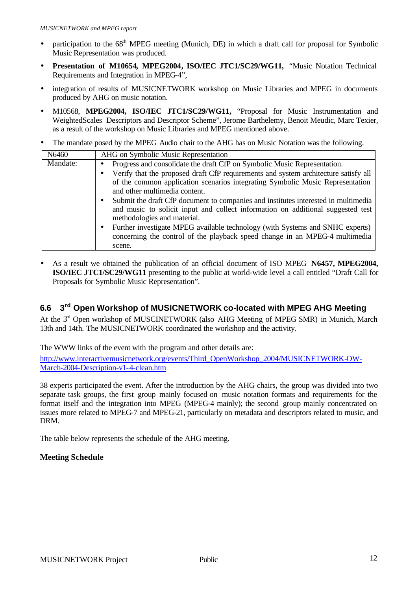- participation to the  $68<sup>th</sup>$  MPEG meeting (Munich, DE) in which a draft call for proposal for Symbolic Music Representation was produced.
- **Presentation of M10654, MPEG2004, ISO/IEC JTC1/SC29/WG11,** "Music Notation Technical Requirements and Integration in MPEG-4",
- integration of results of MUSICNETWORK workshop on Music Libraries and MPEG in documents produced by AHG on music notation.
- M10568, **MPEG2004, ISO/IEC JTC1/SC29/WG11,** "Proposal for Music Instrumentation and WeightedScales Descriptors and Descriptor Scheme", Jerome Barthelemy, Benoit Meudic, Marc Texier, as a result of the workshop on Music Libraries and MPEG mentioned above.
- The mandate posed by the MPEG Audio chair to the AHG has on Music Notation was the following.

| N6460    | AHG on Symbolic Music Representation                                                                                                                                                                 |
|----------|------------------------------------------------------------------------------------------------------------------------------------------------------------------------------------------------------|
| Mandate: | Progress and consolidate the draft CfP on Symbolic Music Representation.                                                                                                                             |
|          | Verify that the proposed draft CfP requirements and system architecture satisfy all                                                                                                                  |
|          | of the common application scenarios integrating Symbolic Music Representation                                                                                                                        |
|          | and other multimedia content.                                                                                                                                                                        |
|          | Submit the draft CfP document to companies and institutes interested in multimedia<br>and music to solicit input and collect information on additional suggested test<br>methodologies and material. |
|          | Further investigate MPEG available technology (with Systems and SNHC experts)<br>concerning the control of the playback speed change in an MPEG-4 multimedia                                         |
|          | scene.                                                                                                                                                                                               |

**·** As a result we obtained the publication of an official document of ISO MPEG **N6457, MPEG2004, ISO/IEC JTC1/SC29/WG11** presenting to the public at world-wide level a call entitled "Draft Call for Proposals for Symbolic Music Representation".

#### **6.6 3** 3<sup>rd</sup> Open Workshop of MUSICNETWORK co-located with MPEG AHG Meeting

At the  $3<sup>rd</sup>$  Open workshop of MUSCINETWORK (also AHG Meeting of MPEG SMR) in Munich, March 13th and 14th. The MUSICNETWORK coordinated the workshop and the activity.

The WWW links of the event with the program and other details are:

http://www.interactivemusicnetwork.org/events/Third\_OpenWorkshop\_2004/MUSICNETWORK-OW-March-2004-Description-v1-4-clean.htm

38 experts participated the event. After the introduction by the AHG chairs, the group was divided into two separate task groups, the first group mainly focused on music notation formats and requirements for the format itself and the integration into MPEG (MPEG-4 mainly); the second group mainly concentrated on issues more related to MPEG-7 and MPEG-21, particularly on metadata and descriptors related to music, and DRM.

The table below represents the schedule of the AHG meeting.

#### **Meeting Schedule**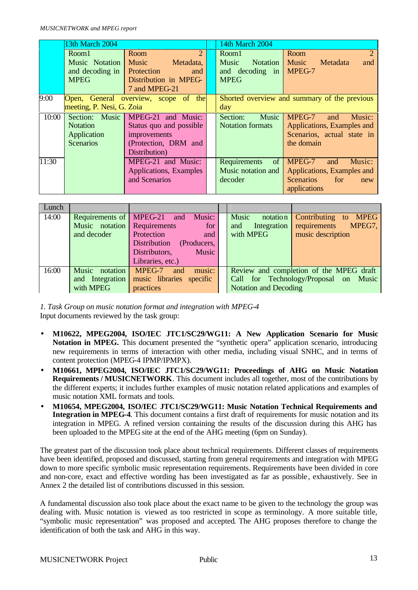|       | 13th March 2004           |                                      | 14th March 2004          |                                              |  |  |
|-------|---------------------------|--------------------------------------|--------------------------|----------------------------------------------|--|--|
|       | Room1                     | $\mathcal{D}_{\cdot}$<br>Room        | Room1                    | $\mathfrak{D}$<br>Room                       |  |  |
|       | Music Notation            | <b>Music</b><br>Metadata,            | Music<br>Notation        | Music<br>Metadata<br>and                     |  |  |
|       | and decoding in           | Protection<br>and                    | and decoding in          | MPEG-7                                       |  |  |
|       | <b>MPEG</b>               | Distribution in MPEG-                | <b>MPEG</b>              |                                              |  |  |
|       |                           | 7 and MPEG-21                        |                          |                                              |  |  |
| 9:00  |                           | Open, General overview, scope of the |                          | Shorted overview and summary of the previous |  |  |
|       | meeting, P. Nesi, G. Zoia |                                      | day                      |                                              |  |  |
| 10:00 | Section: Music            | MPEG-21 and Music:                   | Section:<br><b>Music</b> | MPEG-7<br>Music:<br>and                      |  |  |
|       | <b>Notation</b>           | Status quo and possible              | <b>Notation formats</b>  | Applications, Examples and                   |  |  |
|       | Application               | improvements                         |                          | Scenarios, actual state in                   |  |  |
|       | <b>Scenarios</b>          | (Protection, DRM and                 |                          | the domain                                   |  |  |
|       |                           | Distribution)                        |                          |                                              |  |  |
| 11:30 |                           | MPEG-21 and Music:                   | Requirements<br>of       | MPEG-7<br>Music:<br>and                      |  |  |
|       |                           | Applications, Examples               | Music notation and       | Applications, Examples and                   |  |  |
|       |                           | and Scenarios                        | decoder                  | Scenarios<br>for<br>new                      |  |  |
|       |                           |                                      |                          | applications                                 |  |  |

| Lunch |                             |                                          |                              |                                         |
|-------|-----------------------------|------------------------------------------|------------------------------|-----------------------------------------|
| 14:00 | Requirements of MPEG-21     | Music:<br>and                            | Music<br>notation            | <b>MPEG</b><br>Contributing to          |
|       | Music notation Requirements | for                                      | Integration<br>and           | requirements<br>MPEG7,                  |
|       | and decoder                 | Protection<br>and                        | with MPEG                    | music description                       |
|       |                             | <b>Distribution</b><br>(Producers,       |                              |                                         |
|       |                             | Music<br>Distributors,                   |                              |                                         |
|       |                             | Libraries, etc.)                         |                              |                                         |
| 16:00 | notation<br>Music           | music:<br>MPEG-7<br>and                  |                              | Review and completion of the MPEG draft |
|       |                             | and Integration music libraries specific |                              | Call for Technology/Proposal on Music   |
|       | with MPEG                   | practices                                | <b>Notation and Decoding</b> |                                         |

*1. Task Group on music notation format and integration with MPEG-4* Input documents reviewed by the task group:

- **M10622, MPEG2004, ISO/IEC JTC1/SC29/WG11: A New Application Scenario for Music Notation in MPEG.** This document presented the "synthetic opera" application scenario, introducing new requirements in terms of interaction with other media, including visual SNHC, and in terms of content protection (MPEG-4 IPMP/IPMPX).
- **M10661, MPEG2004, ISO/IEC JTC1/SC29/WG11: Proceedings of AHG on Music Notation Requirements / MUSICNETWORK**. This document includes all together, most of the contributions by the different experts; it includes further examples of music notation related applications and examples of music notation XML formats and tools.
- **M10654, MPEG2004, ISO/IEC JTC1/SC29/WG11: Music Notation Technical Requirements and Integration in MPEG-4**. This document contains a first draft of requirements for music notation and its integration in MPEG. A refined version containing the results of the discussion during this AHG has been uploaded to the MPEG site at the end of the AHG meeting (6pm on Sunday).

The greatest part of the discussion took place about technical requirements. Different classes of requirements have been identified, proposed and discussed, starting from general requirements and integration with MPEG down to more specific symbolic music representation requirements. Requirements have been divided in core and non-core, exact and effective wording has been investigated as far as possible , exhaustively. See in Annex 2 the detailed list of contributions discussed in this session.

A fundamental discussion also took place about the exact name to be given to the technology the group was dealing with. Music notation is viewed as too restricted in scope as terminology. A more suitable title, "symbolic music representation" was proposed and accepted. The AHG proposes therefore to change the identification of both the task and AHG in this way.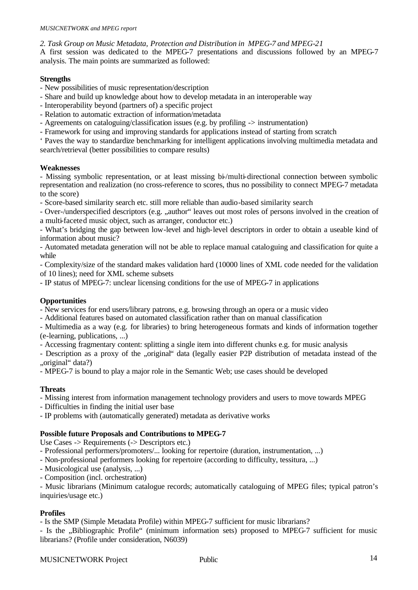*2. Task Group on Music Metadata, Protection and Distribution in MPEG-7 and MPEG-21*

A first session was dedicated to the MPEG-7 presentations and discussions followed by an MPEG-7 analysis. The main points are summarized as followed:

#### **Strengths**

- New possibilities of music representation/description
- Share and build up knowledge about how to develop metadata in an interoperable way
- Interoperability beyond (partners of) a specific project
- Relation to automatic extraction of information/metadata
- Agreements on cataloguing/classification issues (e.g. by profiling -> instrumentation)
- Framework for using and improving standards for applications instead of starting from scratch

' Paves the way to standardize benchmarking for intelligent applications involving multimedia metadata and search/retrieval (better possibilities to compare results)

#### **Weaknesses**

- Missing symbolic representation, or at least missing bi-/multi-directional connection between symbolic representation and realization (no cross-reference to scores, thus no possibility to connect MPEG-7 metadata to the score)

- Score-based similarity search etc. still more reliable than audio-based similarity search

- Over-/underspecified descriptors (e.g. "author" leaves out most roles of persons involved in the creation of a multi-faceted music object, such as arranger, conductor etc.)

- What's bridging the gap between low-level and high-level descriptors in order to obtain a useable kind of information about music?

- Automated metadata generation will not be able to replace manual cataloguing and classification for quite a while

- Complexity/size of the standard makes validation hard (10000 lines of XML code needed for the validation of 10 lines); need for XML scheme subsets

- IP status of MPEG-7: unclear licensing conditions for the use of MPEG-7 in applications

#### **Opportunities**

- New services for end users/library patrons, e.g. browsing through an opera or a music video

- Additional features based on automated classification rather than on manual classification

- Multimedia as a way (e.g. for libraries) to bring heterogeneous formats and kinds of information together (e-learning, publications, ...)

- Accessing fragmentary content: splitting a single item into different chunks e.g. for music analysis

- Description as a proxy of the ..original data (legally easier P2P distribution of metadata instead of the "original" data?)

- MPEG-7 is bound to play a major role in the Semantic Web; use cases should be developed

#### **Threats**

- Missing interest from information management technology providers and users to move towards MPEG

- Difficulties in finding the initial user base

- IP problems with (automatically generated) metadata as derivative works

#### **Possible future Proposals and Contributions to MPEG-7**

Use Cases -> Requirements (-> Descriptors etc.)

- Professional performers/promoters/... looking for repertoire (duration, instrumentation, ...)

- Non-professional performers looking for repertoire (according to difficulty, tessitura, ...)

- Musicological use (analysis, ...)
- Composition (incl. orchestration)

- Music librarians (Minimum catalogue records; automatically cataloguing of MPEG files; typical patron's inquiries/usage etc.)

#### **Profiles**

- Is the SMP (Simple Metadata Profile) within MPEG-7 sufficient for music librarians?

- Is the "Bibliographic Profile" (minimum information sets) proposed to MPEG-7 sufficient for music librarians? (Profile under consideration, N6039)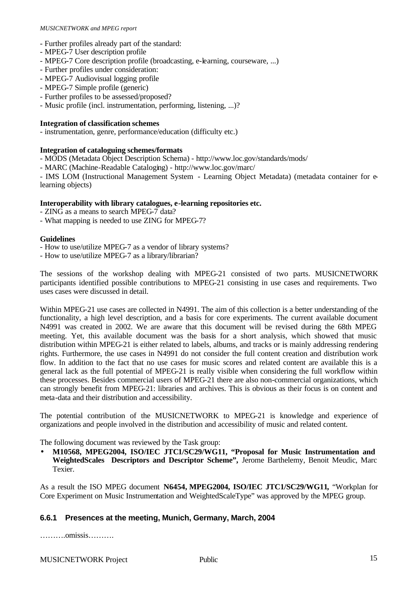#### *MUSICNETWORK and MPEG report*

- Further profiles already part of the standard:
- MPEG-7 User description profile
- MPEG-7 Core description profile (broadcasting, e-learning, courseware, ...)
- Further profiles under consideration:
- MPEG-7 Audiovisual logging profile
- MPEG-7 Simple profile (generic)
- Further profiles to be assessed/proposed?
- Music profile (incl. instrumentation, performing, listening, ...)?

#### **Integration of classification schemes**

- instrumentation, genre, performance/education (difficulty etc.)

#### **Integration of cataloguing schemes/formats**

- MODS (Metadata Object Description Schema) http://www.loc.gov/standards/mods/
- MARC (Machine-Readable Cataloging) http://www.loc.gov/marc/

- IMS LOM (Instructional Management System - Learning Object Metadata) (metadata container for elearning objects)

#### **Interoperability with library catalogues, e-learning repositories etc.**

- ZING as a means to search MPEG-7 data?
- What mapping is needed to use ZING for MPEG-7?

#### **Guidelines**

- How to use/utilize MPEG-7 as a vendor of library systems?
- How to use/utilize MPEG-7 as a library/librarian?

The sessions of the workshop dealing with MPEG-21 consisted of two parts. MUSICNETWORK participants identified possible contributions to MPEG-21 consisting in use cases and requirements. Two uses cases were discussed in detail.

Within MPEG-21 use cases are collected in N4991. The aim of this collection is a better understanding of the functionality, a high level description, and a basis for core experiments. The current available document N4991 was created in 2002. We are aware that this document will be revised during the 68th MPEG meeting. Yet, this available document was the basis for a short analysis, which showed that music distribution within MPEG-21 is either related to labels, albums, and tracks or is mainly addressing rendering rights. Furthermore, the use cases in N4991 do not consider the full content creation and distribution work flow. In addition to the fact that no use cases for music scores and related content are available this is a general lack as the full potential of MPEG-21 is really visible when considering the full workflow within these processes. Besides commercial users of MPEG-21 there are also non-commercial organizations, which can strongly benefit from MPEG-21: libraries and archives. This is obvious as their focus is on content and meta-data and their distribution and accessibility.

The potential contribution of the MUSICNETWORK to MPEG-21 is knowledge and experience of organizations and people involved in the distribution and accessibility of music and related content.

The following document was reviewed by the Task group:

• **M10568, MPEG2004, ISO/IEC JTC1/SC29/WG11, "Proposal for Music Instrumentation and WeightedScales Descriptors and Descriptor Scheme",** Jerome Barthelemy, Benoit Meudic, Marc Texier.

As a result the ISO MPEG document **N6454, MPEG2004, ISO/IEC JTC1/SC29/WG11,** "Workplan for Core Experiment on Music Instrumentation and WeightedScaleType" was approved by the MPEG group.

#### **6.6.1 Presences at the meeting, Munich, Germany, March, 2004**

……….omissis……….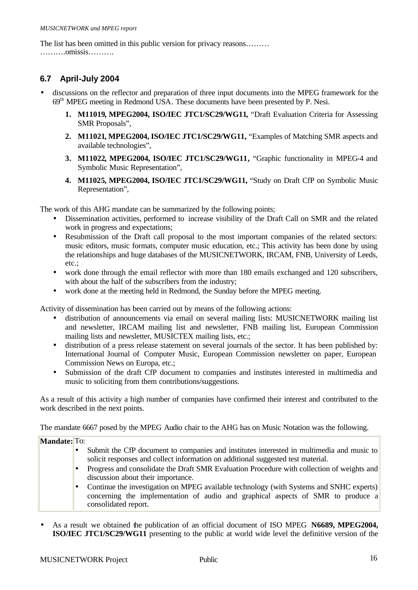The list has been omitted in this public version for privacy reasons……… ……….omissis……….

## **6.7 April-July 2004**

- discussions on the reflector and preparation of three input documents into the MPEG framework for the 69<sup>th</sup> MPEG meeting in Redmond USA. These documents have been presented by P. Nesi.
	- **1. M11019, MPEG2004, ISO/IEC JTC1/SC29/WG11,** "Draft Evaluation Criteria for Assessing SMR Proposals",
	- **2. M11021, MPEG2004, ISO/IEC JTC1/SC29/WG11,** "Examples of Matching SMR aspects and available technologies",
	- **3. M11022, MPEG2004, ISO/IEC JTC1/SC29/WG11,** "Graphic functionality in MPEG-4 and Symbolic Music Representation",
	- **4. M11025, MPEG2004, ISO/IEC JTC1/SC29/WG11,** "Study on Draft CfP on Symbolic Music Representation",

The work of this AHG mandate can be summarized by the following points;

- Dissemination activities, performed to increase visibility of the Draft Call on SMR and the related work in progress and expectations;
- Resubmission of the Draft call proposal to the most important companies of the related sectors: music editors, music formats, computer music education, etc.; This activity has been done by using the relationships and huge databases of the MUSICNETWORK, IRCAM, FNB, University of Leeds, etc.;
- work done through the email reflector with more than 180 emails exchanged and 120 subscribers, with about the half of the subscribers from the industry;
- work done at the meeting held in Redmond, the Sunday before the MPEG meeting.

Activity of dissemination has been carried out by means of the following actions:

- distribution of announcements via email on several mailing lists: MUSICNETWORK mailing list and newsletter, IRCAM mailing list and newsletter, FNB mailing list, European Commission mailing lists and newsletter, MUSICTEX mailing lists, etc.;
- distribution of a press release statement on several journals of the sector. It has been published by: International Journal of Computer Music, European Commission newsletter on paper, European Commission News on Europa, etc.;
- Submission of the draft CfP document to companies and institutes interested in multimedia and music to soliciting from them contributions/suggestions.

As a result of this activity a high number of companies have confirmed their interest and contributed to the work described in the next points.

The mandate 6667 posed by the MPEG Audio chair to the AHG has on Music Notation was the following.

| <b>Mandate:</b> To: |                                                                                                                                                                                                     |
|---------------------|-----------------------------------------------------------------------------------------------------------------------------------------------------------------------------------------------------|
|                     | Submit the CfP document to companies and institutes interested in multimedia and music to<br>solicit responses and collect information on additional suggested test material.                       |
|                     | Progress and consolidate the Draft SMR Evaluation Procedure with collection of weights and<br>discussion about their importance.                                                                    |
|                     | Continue the investigation on MPEG available technology (with Systems and SNHC experts)<br>concerning the implementation of audio and graphical aspects of SMR to produce a<br>consolidated report. |

**·** As a result we obtained the publication of an official document of ISO MPEG **N6689, MPEG2004, ISO/IEC JTC1/SC29/WG11** presenting to the public at world wide level the definitive version of the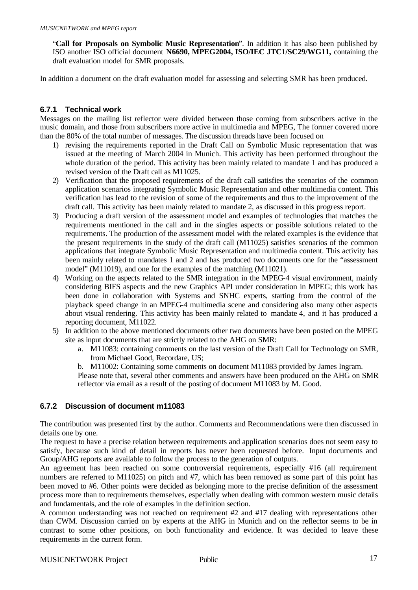"**Call for Proposals on Symbolic Music Representation**". In addition it has also been published by ISO another ISO official document **N6690, MPEG2004, ISO/IEC JTC1/SC29/WG11,** containing the draft evaluation model for SMR proposals.

In addition a document on the draft evaluation model for assessing and selecting SMR has been produced.

#### **6.7.1 Technical work**

Messages on the mailing list reflector were divided between those coming from subscribers active in the music domain, and those from subscribers more active in multimedia and MPEG, The former covered more than the 80% of the total number of messages. The discussion threads have been focused on

- 1) revising the requirements reported in the Draft Call on Symbolic Music representation that was issued at the meeting of March 2004 in Munich. This activity has been performed throughout the whole duration of the period. This activity has been mainly related to mandate 1 and has produced a revised version of the Draft call as M11025.
- 2) Verification that the proposed requirements of the draft call satisfies the scenarios of the common application scenarios integrating Symbolic Music Representation and other multimedia content. This verification has lead to the revision of some of the requirements and thus to the improvement of the draft call. This activity has been mainly related to mandate 2, as discussed in this progress report.
- 3) Producing a draft version of the assessment model and examples of technologies that matches the requirements mentioned in the call and in the singles aspects or possible solutions related to the requirements. The production of the assessment model with the related examples is the evidence that the present requirements in the study of the draft call (M11025) satisfies scenarios of the common applications that integrate Symbolic Music Representation and multimedia content. This activity has been mainly related to mandates 1 and 2 and has produced two documents one for the "assessment model" (M11019), and one for the examples of the matching (M11021).
- 4) Working on the aspects related to the SMR integration in the MPEG-4 visual environment, mainly considering BIFS aspects and the new Graphics API under consideration in MPEG; this work has been done in collaboration with Systems and SNHC experts, starting from the control of the playback speed change in an MPEG-4 multimedia scene and considering also many other aspects about visual rendering. This activity has been mainly related to mandate 4, and it has produced a reporting document, M11022.
- 5) In addition to the above mentioned documents other two documents have been posted on the MPEG site as input documents that are strictly related to the AHG on SMR:
	- a. M11083: containing comments on the last version of the Draft Call for Technology on SMR, from Michael Good, Recordare, US;
	- b. M11002: Containing some comments on document M11083 provided by James Ingram.

Please note that, several other comments and answers have been produced on the AHG on SMR reflector via email as a result of the posting of document M11083 by M. Good.

#### **6.7.2 Discussion of document m11083**

The contribution was presented first by the author. Comments and Recommendations were then discussed in details one by one.

The request to have a precise relation between requirements and application scenarios does not seem easy to satisfy, because such kind of detail in reports has never been requested before. Input documents and Group/AHG reports are available to follow the process to the generation of outputs.

An agreement has been reached on some controversial requirements, especially #16 (all requirement numbers are referred to M11025) on pitch and #7, which has been removed as some part of this point has been moved to #6. Other points were decided as belonging more to the precise definition of the assessment process more than to requirements themselves, especially when dealing with common western music details and fundamentals, and the role of examples in the definition section.

A common understanding was not reached on requirement #2 and #17 dealing with representations other than CWM. Discussion carried on by experts at the AHG in Munich and on the reflector seems to be in contrast to some other positions, on both functionality and evidence. It was decided to leave these requirements in the current form.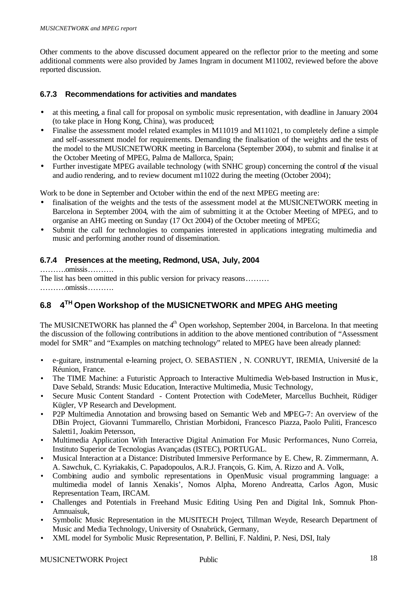Other comments to the above discussed document appeared on the reflector prior to the meeting and some additional comments were also provided by James Ingram in document M11002, reviewed before the above reported discussion.

#### **6.7.3 Recommendations for activities and mandates**

- at this meeting, a final call for proposal on symbolic music representation, with deadline in January 2004 (to take place in Hong Kong, China), was produced;
- Finalise the assessment model related examples in M11019 and M11021, to completely define a simple and self-assessment model for requirements. Demanding the finalisation of the weights and the tests of the model to the MUSICNETWORK meeting in Barcelona (September 2004), to submit and finalise it at the October Meeting of MPEG, Palma de Mallorca, Spain;
- Further investigate MPEG available technology (with SNHC group) concerning the control of the visual and audio rendering, and to review document m11022 during the meeting (October 2004);

Work to be done in September and October within the end of the next MPEG meeting are:

- finalisation of the weights and the tests of the assessment model at the MUSICNETWORK meeting in Barcelona in September 2004, with the aim of submitting it at the October Meeting of MPEG, and to organise an AHG meeting on Sunday (17 Oct 2004) of the October meeting of MPEG;
- Submit the call for technologies to companies interested in applications integrating multimedia and music and performing another round of dissemination.

#### **6.7.4 Presences at the meeting, Redmond, USA, July, 2004**

……….omissis……….

The list has been omitted in this public version for privacy reasons……… ……….omissis……….

#### **6.8 4 TH Open Workshop of the MUSICNETWORK and MPEG AHG meeting**

The MUSICNETWORK has planned the 4<sup>th</sup> Open workshop, September 2004, in Barcelona. In that meeting the discussion of the following contributions in addition to the above mentioned contribution of "Assessment model for SMR" and "Examples on matching technology" related to MPEG have been already planned:

- e-guitare, instrumental e-learning project, O. SEBASTIEN , N. CONRUYT, IREMIA, Université de la Réunion, France.
- The TIME Machine: a Futuristic Approach to Interactive Multimedia Web-based Instruction in Music, Dave Sebald, Strands: Music Education, Interactive Multimedia, Music Technology,
- Secure Music Content Standard Content Protection with CodeMeter, Marcellus Buchheit, Rüdiger Kügler, VP Research and Development.
- P2P Multimedia Annotation and browsing based on Semantic Web and MPEG-7: An overview of the DBin Project, Giovanni Tummarello, Christian Morbidoni, Francesco Piazza, Paolo Puliti, Francesco Saletti1, Joakim Petersson,
- Multimedia Application With Interactive Digital Animation For Music Performances, Nuno Correia, Instituto Superior de Tecnologias Avançadas (ISTEC), PORTUGAL.
- Musical Interaction at a Distance: Distributed Immersive Performance by E. Chew, R. Zimmermann, A. A. Sawchuk, C. Kyriakakis, C. Papadopoulos, A.R.J. François, G. Kim, A. Rizzo and A. Volk,
- Combining audio and symbolic representations in OpenMusic visual programming language: a multimedia model of Iannis Xenakis', Nomos Alpha, Moreno Andreatta, Carlos Agon, Music Representation Team, IRCAM.
- Challenges and Potentials in Freehand Music Editing Using Pen and Digital Ink, Somnuk Phon-Amnuaisuk,
- Symbolic Music Representation in the MUSITECH Project, Tillman Weyde, Research Department of Music and Media Technology, University of Osnabrück, Germany,
- XML model for Symbolic Music Representation, P. Bellini, F. Naldini, P. Nesi, DSI, Italy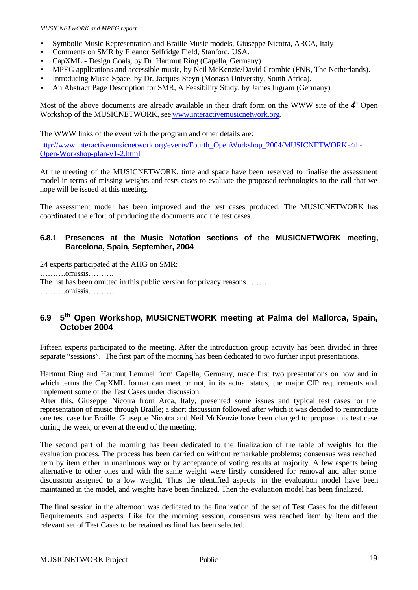- Symbolic Music Representation and Braille Music models, Giuseppe Nicotra, ARCA, Italy
- Comments on SMR by Eleanor Selfridge Field, Stanford, USA.
- CapXML Design Goals, by Dr. Hartmut Ring (Capella, Germany)
- MPEG applications and accessible music, by Neil McKenzie/David Crombie (FNB, The Netherlands).
- Introducing Music Space, by Dr. Jacques Steyn (Monash University, South Africa).
- An Abstract Page Description for SMR, A Feasibility Study, by James Ingram (Germany)

Most of the above documents are already available in their draft form on the WWW site of the  $4<sup>th</sup>$  Open Workshop of the MUSICNETWORK, see www.interactivemusicnetwork.org.

The WWW links of the event with the program and other details are:

http://www.interactivemusicnetwork.org/events/Fourth\_OpenWorkshop\_2004/MUSICNETWORK-4th-Open-Workshop-plan-v1-2.html

At the meeting of the MUSICNETWORK, time and space have been reserved to finalise the assessment model in terms of missing weights and tests cases to evaluate the proposed technologies to the call that we hope will be issued at this meeting.

The assessment model has been improved and the test cases produced. The MUSICNETWORK has coordinated the effort of producing the documents and the test cases.

#### **6.8.1 Presences at the Music Notation sections of the MUSICNETWORK meeting, Barcelona, Spain, September, 2004**

24 experts participated at the AHG on SMR: ……….omissis………. The list has been omitted in this public version for privacy reasons……… ……….omissis……….

#### **6.9 5 th Open Workshop, MUSICNETWORK meeting at Palma del Mallorca, Spain, October 2004**

Fifteen experts participated to the meeting. After the introduction group activity has been divided in three separate "sessions". The first part of the morning has been dedicated to two further input presentations.

Hartmut Ring and Hartmut Lemmel from Capella, Germany, made first two presentations on how and in which terms the CapXML format can meet or not, in its actual status, the major CfP requirements and implement some of the Test Cases under discussion.

After this, Giuseppe Nicotra from Arca, Italy, presented some issues and typical test cases for the representation of music through Braille; a short discussion followed after which it was decided to reintroduce one test case for Braille. Giuseppe Nicotra and Neil McKenzie have been charged to propose this test case during the week, or even at the end of the meeting.

The second part of the morning has been dedicated to the finalization of the table of weights for the evaluation process. The process has been carried on without remarkable problems; consensus was reached item by item either in unanimous way or by acceptance of voting results at majority. A few aspects being alternative to other ones and with the same weight were firstly considered for removal and after some discussion assigned to a low weight. Thus the identified aspects in the evaluation model have been maintained in the model, and weights have been finalized. Then the evaluation model has been finalized.

The final session in the afternoon was dedicated to the finalization of the set of Test Cases for the different Requirements and aspects. Like for the morning session, consensus was reached item by item and the relevant set of Test Cases to be retained as final has been selected.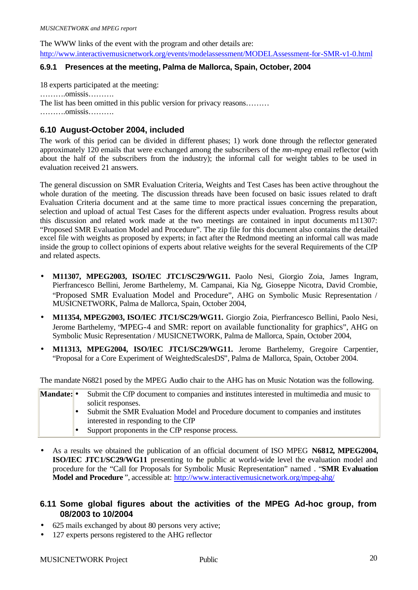The WWW links of the event with the program and other details are:

http://www.interactivemusicnetwork.org/events/modelassessment/MODELAssessment-for-SMR-v1-0.html

#### **6.9.1 Presences at the meeting, Palma de Mallorca, Spain, October, 2004**

18 experts participated at the meeting: ……….omissis………. The list has been omitted in this public version for privacy reasons……… ……….omissis……….

#### **6.10 August-October 2004, included**

The work of this period can be divided in different phases; 1) work done through the reflector generated approximately 120 emails that were exchanged among the subscribers of the *mn-mpeg* email reflector (with about the half of the subscribers from the industry); the informal call for weight tables to be used in evaluation received 21 answers.

The general discussion on SMR Evaluation Criteria, Weights and Test Cases has been active throughout the whole duration of the meeting. The discussion threads have been focused on basic issues related to draft Evaluation Criteria document and at the same time to more practical issues concerning the preparation, selection and upload of actual Test Cases for the different aspects under evaluation. Progress results about this discussion and related work made at the two meetings are contained in input documents m11307: "Proposed SMR Evaluation Model and Procedure". The zip file for this document also contains the detailed excel file with weights as proposed by experts; in fact after the Redmond meeting an informal call was made inside the group to collect opinions of experts about relative weights for the several Requirements of the CfP and related aspects.

- **M11307, MPEG2003, ISO/IEC JTC1/SC29/WG11.** Paolo Nesi, Giorgio Zoia, James Ingram, Pierfrancesco Bellini, Jerome Barthelemy, M. Campanai, Kia Ng, Gioseppe Nicotra, David Crombie, "Proposed SMR Evaluation Model and Procedure", AHG on Symbolic Music Representation / MUSICNETWORK, Palma de Mallorca, Spain, October 2004,
- **M11354, MPEG2003, ISO/IEC JTC1/SC29/WG11.** Giorgio Zoia, Pierfrancesco Bellini, Paolo Nesi, Jerome Barthelemy, "MPEG-4 and SMR: report on available functionality for graphics", AHG on Symbolic Music Representation / MUSICNETWORK, Palma de Mallorca, Spain, October 2004,
- **M11313, MPEG2004, ISO/IEC JTC1/SC29/WG11.** Jerome Barthelemy, Gregoire Carpentier, "Proposal for a Core Experiment of WeightedScalesDS", Palma de Mallorca, Spain, October 2004.

The mandate N6821 posed by the MPEG Audio chair to the AHG has on Music Notation was the following.

| Mandate: • | Submit the CfP document to companies and institutes interested in multimedia and music to |  |  |
|------------|-------------------------------------------------------------------------------------------|--|--|
|            | solicit responses.                                                                        |  |  |
|            | Submit the SMR Evaluation Model and Procedure document to companies and institutes        |  |  |
|            | interested in responding to the CfP                                                       |  |  |
|            | Support proponents in the CfP response process.                                           |  |  |

**·** As a results we obtained the publication of an official document of ISO MPEG **N6812, MPEG2004, ISO/IEC JTC1/SC29/WG11** presenting to the public at world-wide level the evaluation model and procedure for the "Call for Proposals for Symbolic Music Representation" named . "**SMR Evaluation Model and Procedure** ", accessible at: http://www.interactivemusicnetwork.org/mpeg-ahg/

#### **6.11 Some global figures about the activities of the MPEG Ad-hoc group, from 08/2003 to 10/2004**

- 625 mails exchanged by about 80 persons very active;
- 127 experts persons registered to the AHG reflector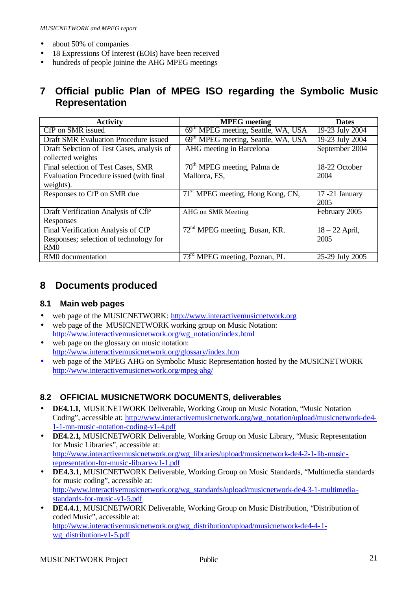- about 50% of companies
- 18 Expressions Of Interest (EOIs) have been received
- hundreds of people joinine the AHG MPEG meetings

# **7 Official public Plan of MPEG ISO regarding the Symbolic Music Representation**

| <b>Activity</b>                              | <b>MPEG</b> meeting                             | <b>Dates</b>      |
|----------------------------------------------|-------------------------------------------------|-------------------|
| CfP on SMR issued                            | 69 <sup>th</sup> MPEG meeting, Seattle, WA, USA | 19-23 July 2004   |
| <b>Draft SMR Evaluation Procedure issued</b> | 69 <sup>th</sup> MPEG meeting, Seattle, WA, USA | 19-23 July 2004   |
| Draft Selection of Test Cases, analysis of   | AHG meeting in Barcelona                        | September 2004    |
| collected weights                            |                                                 |                   |
| Final selection of Test Cases, SMR           | 70 <sup>th</sup> MPEG meeting, Palma de         | 18-22 October     |
| Evaluation Procedure issued (with final      | Mallorca, ES,                                   | 2004              |
| weights).                                    |                                                 |                   |
| Responses to CfP on SMR due                  | 71 <sup>st</sup> MPEG meeting, Hong Kong, CN,   | $17 - 21$ January |
|                                              |                                                 | 2005              |
| Draft Verification Analysis of CfP           | AHG on SMR Meeting                              | February 2005     |
| Responses                                    |                                                 |                   |
| Final Verification Analysis of CfP           | 72 <sup>nd</sup> MPEG meeting, Busan, KR.       | $18 - 22$ April,  |
| Responses; selection of technology for       |                                                 | 2005              |
| RM <sub>0</sub>                              |                                                 |                   |
| RM0 documentation                            | 73 <sup>rd</sup> MPEG meeting, Poznan, PL       | 25-29 July 2005   |

# **8 Documents produced**

#### **8.1 Main web pages**

- web page of the MUSICNETWORK: http://www.interactivemusicnetwork.org
- web page of the MUSICNETWORK working group on Music Notation: http://www.interactivemusicnetwork.org/wg\_notation/index.html
- web page on the glossary on music notation: http://www.interactivemusicnetwork.org/glossary/index.htm
- web page of the MPEG AHG on Symbolic Music Representation hosted by the MUSICNETWORK http://www.interactivemusicnetwork.org/mpeg-ahg/

#### **8.2 OFFICIAL MUSICNETWORK DOCUMENTS, deliverables**

- **DE4.1.1,** MUSICNETWORK Deliverable, Working Group on Music Notation, "Music Notation Coding", accessible at: http://www.interactivemusicnetwork.org/wg\_notation/upload/musicnetwork-de4- 1-1-mn-music-notation-coding-v1-4.pdf
- **DE4.2.1,** MUSICNETWORK Deliverable, Working Group on Music Library, "Music Representation for Music Libraries", accessible at: http://www.interactivemusicnetwork.org/wg\_libraries/upload/musicnetwork-de4-2-1-lib-musicrepresentation-for-music-library-v1-1.pdf
- **DE4.3.1**, MUSICNETWORK Deliverable, Working Group on Music Standards, "Multimedia standards for music coding", accessible at: http://www.interactivemusicnetwork.org/wg\_standards/upload/musicnetwork-de4-3-1-multimedia standards-for-music-v1-5.pdf
- **DE4.4.1**, MUSICNETWORK Deliverable, Working Group on Music Distribution, "Distribution of coded Music", accessible at: http://www.interactivemusicnetwork.org/wg\_distribution/upload/musicnetwork-de4-4-1 wg\_distribution-v1-5.pdf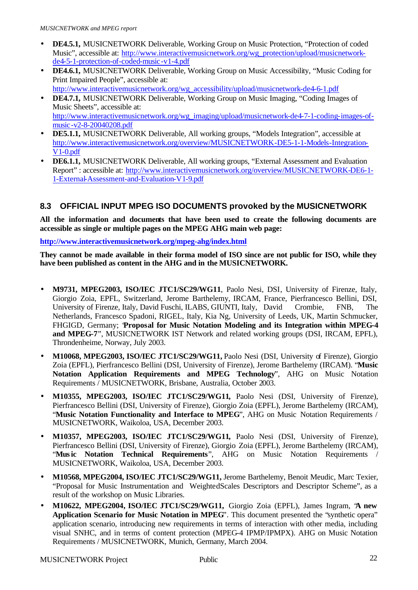- **DE4.5.1,** MUSICNETWORK Deliverable, Working Group on Music Protection, "Protection of coded Music", accessible at: http://www.interactivemusicnetwork.org/wg\_protection/upload/musicnetworkde4-5-1-protection-of-coded-music-v1-4.pdf
- **DE4.6.1,** MUSICNETWORK Deliverable, Working Group on Music Accessibility, "Music Coding for Print Impaired People", accessible at: http://www.interactivemusicnetwork.org/wg\_accessibility/upload/musicnetwork-de4-6-1.pdf
- **DE4.7.1,** MUSICNETWORK Deliverable, Working Group on Music Imaging, "Coding Images of Music Sheets", accessible at: http://www.interactivemusicnetwork.org/wg\_imaging/upload/musicnetwork-de4-7-1-coding-images-of-
- music-v2-8-20040208.pdf • **DE5.1.1,** MUSICNETWORK Deliverable, All working groups, "Models Integration", accessible at http://www.interactivemusicnetwork.org/overview/MUSICNETWORK-DE5-1-1-Models-Integration-V1-0.pdf
- **DE6.1.1,** MUSICNETWORK Deliverable, All working groups, "External Assessment and Evaluation Report" : accessible at: http://www.interactivemusicnetwork.org/overview/MUSICNETWORK-DE6-1- 1-External-Assessment-and-Evaluation-V1-9.pdf

## **8.3 OFFICIAL INPUT MPEG ISO DOCUMENTS provoked by the MUSICNETWORK**

**All the information and documents that have been used to create the following documents are accessible as single or multiple pages on the MPEG AHG main web page:** 

**http://www.interactivemusicnetwork.org/mpeg-ahg/index.html**

**They cannot be made available in their forma model of ISO since are not public for ISO, while they have been published as content in the AHG and in the MUSICNETWORK.**

- **M9731, MPEG2003, ISO/IEC JTC1/SC29/WG11**, Paolo Nesi, DSI, University of Firenze, Italy, Giorgio Zoia, EPFL, Switzerland, Jerome Barthelemy, IRCAM, France, Pierfrancesco Bellini, DSI, University of Firenze, Italy, David Fuschi, ILABS, GIUNTI, Italy, David Crombie, FNB, The Netherlands, Francesco Spadoni, RIGEL, Italy, Kia Ng, University of Leeds, UK, Martin Schmucker, FHGIGD, Germany; **'Proposal for Music Notation Modeling and its Integration within MPEG-4 and MPEG-7**", MUSICNETWORK IST Network and related working groups (DSI, IRCAM, EPFL), Throndenheime, Norway, July 2003.
- **M10068, MPEG2003, ISO/IEC JTC1/SC29/WG11,** Paolo Nesi (DSI, University of Firenze), Giorgio Zoia (EPFL), Pierfrancesco Bellini (DSI, University of Firenze), Jerome Barthelemy (IRCAM). "**Music Notation Application Requirements and MPEG Technology**", AHG on Music Notation Requirements / MUSICNETWORK, Brisbane, Australia, October 2003.
- **M10355, MPEG2003, ISO/IEC JTC1/SC29/WG11,** Paolo Nesi (DSI, University of Firenze), Pierfrancesco Bellini (DSI, University of Firenze), Giorgio Zoia (EPFL), Jerome Barthelemy (IRCAM), "**Music Notation Functionality and Interface to MPEG**", AHG on Music Notation Requirements / MUSICNETWORK, Waikoloa, USA, December 2003.
- **M10357, MPEG2003, ISO/IEC JTC1/SC29/WG11,** Paolo Nesi (DSI, University of Firenze), Pierfrancesco Bellini (DSI, University of Firenze), Giorgio Zoia (EPFL), Jerome Barthelemy (IRCAM), "**Music Notation Technical Requirements**", AHG on Music Notation Requirements / MUSICNETWORK, Waikoloa, USA, December 2003.
- **M10568, MPEG2004, ISO/IEC JTC1/SC29/WG11,** Jerome Barthelemy, Benoit Meudic, Marc Texier, "Proposal for Music Instrumentation and WeightedScales Descriptors and Descriptor Scheme", as a result of the workshop on Music Libraries.
- **M10622, MPEG2004, ISO/IEC JTC1/SC29/WG11,** Giorgio Zoia (EPFL), James Ingram, "**A new Application Scenario for Music Notation in MPEG**". This document presented the "synthetic opera" application scenario, introducing new requirements in terms of interaction with other media, including visual SNHC, and in terms of content protection (MPEG-4 IPMP/IPMPX). AHG on Music Notation Requirements / MUSICNETWORK, Munich, Germany, March 2004.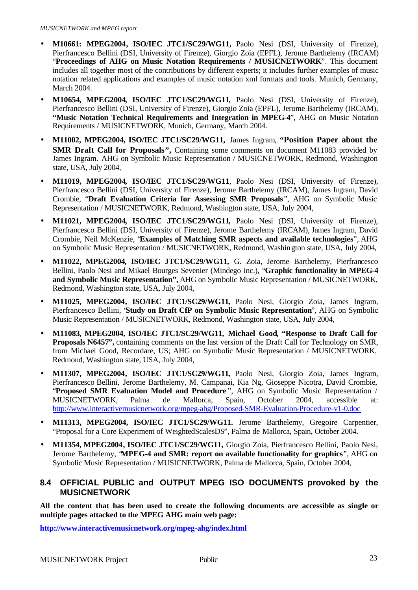- **M10661: MPEG2004, ISO/IEC JTC1/SC29/WG11,** Paolo Nesi (DSI, University of Firenze), Pierfrancesco Bellini (DSI, University of Firenze), Giorgio Zoia (EPFL), Jerome Barthelemy (IRCAM) "**Proceedings of AHG on Music Notation Requirements / MUSICNETWORK**". This document includes all together most of the contributions by different experts; it includes further examples of music notation related applications and examples of music notation xml formats and tools. Munich, Germany, March 2004.
- **M10654, MPEG2004, ISO/IEC JTC1/SC29/WG11,** Paolo Nesi (DSI, University of Firenze), Pierfrancesco Bellini (DSI, University of Firenze), Giorgio Zoia (EPFL), Jerome Barthelemy (IRCAM), **"Music Notation Technical Requirements and Integration in MPEG-4**", AHG on Music Notation Requirements / MUSICNETWORK, Munich, Germany, March 2004.
- **M11002, MPEG2004, ISO/IEC JTC1/SC29/WG11,** James Ingram, **"Position Paper about the SMR Draft Call for Proposals",** Containing some comments on document M11083 provided by James Ingram. AHG on Symbolic Music Representation / MUSICNETWORK, Redmond, Washington state, USA, July 2004,
- **M11019, MPEG2004, ISO/IEC JTC1/SC29/WG11**, Paolo Nesi (DSI, University of Firenze), Pierfrancesco Bellini (DSI, University of Firenze), Jerome Barthelemy (IRCAM), James Ingram, David Crombie, "**Draft Evaluation Criteria for Assessing SMR Proposals** ", AHG on Symbolic Music Representation / MUSICNETWORK, Redmond, Washington state, USA, July 2004,
- **M11021, MPEG2004, ISO/IEC JTC1/SC29/WG11,** Paolo Nesi (DSI, University of Firenze), Pierfrancesco Bellini (DSI, University of Firenze), Jerome Barthelemy (IRCAM), James Ingram, David Crombie, Neil McKenzie, "**Examples of Matching SMR aspects and available technologies**", AHG on Symbolic Music Representation / MUSICNETWORK, Redmond, Washington state, USA, July 2004,
- **M11022, MPEG2004, ISO/IEC JTC1/SC29/WG11,** G. Zoia, Jerome Barthelemy, Pierfrancesco Bellini, Paolo Nesi and Mikael Bourges Sevenier (Mindego inc.), "**Graphic functionality in MPEG-4 and Symbolic Music Representation",** AHG on Symbolic Music Representation / MUSICNETWORK, Redmond, Washington state, USA, July 2004,
- **M11025, MPEG2004, ISO/IEC JTC1/SC29/WG11,** Paolo Nesi, Giorgio Zoia, James Ingram, Pierfrancesco Bellini, "**Study on Draft CfP on Symbolic Music Representation**", AHG on Symbolic Music Representation / MUSICNETWORK, Redmond, Washington state, USA, July 2004,
- **M11083, MPEG2004, ISO/IEC JTC1/SC29/WG11, Michael Good, "Response to Draft Call for Proposals N6457'**, containing comments on the last version of the Draft Call for Technology on SMR, from Michael Good, Recordare, US; AHG on Symbolic Music Representation / MUSICNETWORK, Redmond, Washington state, USA, July 2004,
- **M11307, MPEG2004, ISO/IEC JTC1/SC29/WG11,** Paolo Nesi, Giorgio Zoia, James Ingram, Pierfrancesco Bellini, Jerome Barthelemy, M. Campanai, Kia Ng, Gioseppe Nicotra, David Crombie, "**Proposed SMR Evaluation Model and Procedure** ", AHG on Symbolic Music Representation / MUSICNETWORK, Palma de Mallorca, Spain, October 2004, accessible at: http://www.interactivemusicnetwork.org/mpeg-ahg/Proposed-SMR-Evaluation-Procedure-v1-0.doc
- **M11313, MPEG2004, ISO/IEC JTC1/SC29/WG11.** Jerome Barthelemy, Gregoire Carpentier, "Proposal for a Core Experiment of WeightedScalesDS", Palma de Mallorca, Spain, October 2004.
- **M11354, MPEG2004, ISO/IEC JTC1/SC29/WG11,** Giorgio Zoia, Pierfrancesco Bellini, Paolo Nesi, Jerome Barthelemy, "**MPEG-4 and SMR: report on available functionality for graphics**", AHG on Symbolic Music Representation / MUSICNETWORK, Palma de Mallorca, Spain, October 2004,

#### **8.4 OFFICIAL PUBLIC and OUTPUT MPEG ISO DOCUMENTS provoked by the MUSICNETWORK**

**All the content that has been used to create the following documents are accessible as single or multiple pages attacked to the MPEG AHG main web page:** 

**http://www.interactivemusicnetwork.org/mpeg-ahg/index.html**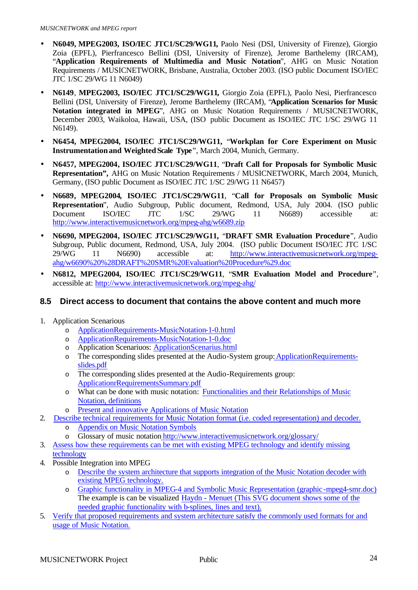- **N6049, MPEG2003, ISO/IEC JTC1/SC29/WG11,** Paolo Nesi (DSI, University of Firenze), Giorgio Zoia (EPFL), Pierfrancesco Bellini (DSI, University of Firenze), Jerome Barthelemy (IRCAM), "**Application Requirements of Multimedia and Music Notation**", AHG on Music Notation Requirements / MUSICNETWORK, Brisbane, Australia, October 2003. (ISO public Document ISO/IEC JTC 1/SC 29/WG 11 N6049)
- **N6149**, **MPEG2003, ISO/IEC JTC1/SC29/WG11,** Giorgio Zoia (EPFL), Paolo Nesi, Pierfrancesco Bellini (DSI, University of Firenze), Jerome Barthelemy (IRCAM), "**Application Scenarios for Music Notation integrated in MPEG**", AHG on Music Notation Requirements / MUSICNETWORK, December 2003, Waikoloa, Hawaii, USA, (ISO public Document as ISO/IEC JTC 1/SC 29/WG 11 N6149).
- **N6454, MPEG2004, ISO/IEC JTC1/SC29/WG11,** "**Workplan for Core Experiment on Music Instrumentation and WeightedScale Type**", March 2004, Munich, Germany.
- **N6457, MPEG2004, ISO/IEC JTC1/SC29/WG11**, "**Draft Call for Proposals for Symbolic Music Representation",** AHG on Music Notation Requirements / MUSICNETWORK, March 2004, Munich, Germany, (ISO public Document as ISO/IEC JTC 1/SC 29/WG 11 N6457)
- **N6689, MPEG2004, ISO/IEC JTC1/SC29/WG11**, "**Call for Proposals on Symbolic Music Representation**", Audio Subgroup, Public document, Redmond, USA, July 2004. (ISO public Document ISO/IEC JTC 1/SC 29/WG 11 N6689) accessible at: http://www.interactivemusicnetwork.org/mpeg-ahg/w6689.zip
- **N6690, MPEG2004, ISO/IEC JTC1/SC29/WG11,** "**DRAFT SMR Evaluation Procedure**", Audio Subgroup, Public document, Redmond, USA, July 2004. (ISO public Document ISO/IEC JTC 1/SC 29/WG 11 N6690) accessible at: http://www.interactivemusicnetwork.org/mpegahg/w6690%20%28DRAFT%20SMR%20Evaluation%20Procedure%29.doc
- **N6812, MPEG2004, ISO/IEC JTC1/SC29/WG11**, "**SMR Evaluation Model and Procedure**", accessible at: http://www.interactivemusicnetwork.org/mpeg-ahg/

## **8.5 Direct access to document that contains the above content and much more**

- 1. Application Scenarious
	- o ApplicationRequirements-MusicNotation-1-0.html
	- o ApplicationRequirements-MusicNotation-1-0.doc
	- o Application Scenariuos: ApplicationScenarius.html
	- o The corresponding slides presented at the Audio-System group: ApplicationRequirementsslides.pdf
	- o The corresponding slides presented at the Audio-Requirements group: ApplicationrRequirementsSummary.pdf
	- o What can be done with music notation: Functionalities and their Relationships of Music Notation, definitions
	- o Present and innovative Applications of Music Notation
- 2. Describe technical requirements for Music Notation format (i.e. coded representation) and decoder. o Appendix on Music Notation Symbols
	- o Glossary of music notation http://www.interactivemusicnetwork.org/glossary/
- 3. Assess how these requirements can be met with existing MPEG technology and identify missing

technology

- 4. Possible Integration into MPEG
	- o Describe the system architecture that supports integration of the Music Notation decoder with existing MPEG technology.
	- o Graphic functionality in MPEG-4 and Symbolic Music Representation (graphic -mpeg4-smr.doc) The example is can be visualized Haydn - Menuet (This SVG document shows some of the needed graphic functionality with b-splines, lines and text).
- 5. Verify that proposed requirements and system architecture satisfy the commonly used formats for and usage of Music Notation.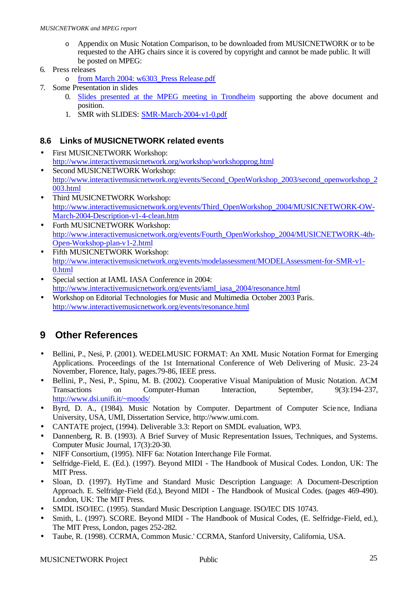- o Appendix on Music Notation Comparison, to be downloaded from MUSICNETWORK or to be requested to the AHG chairs since it is covered by copyright and cannot be made public. It will be posted on MPEG:
- 6. Press releases
	- o from March 2004: w6303\_Press Release.pdf
- 7. Some Presentation in slides
	- 0. Slides presented at the MPEG meeting in Trondheim supporting the above document and position.
	- 1. SMR with SLIDES: SMR-March-2004-v1-0.pdf

#### **8.6 Links of MUSICNETWORK related events**

- First MUSICNETWORK Workshop: http://www.interactivemusicnetwork.org/workshop/workshopprog.html
- Second MUSICNETWORK Workshop: http://www.interactivemusicnetwork.org/events/Second\_OpenWorkshop\_2003/second\_openworkshop\_2 003.html
- Third MUSICNETWORK Workshop: http://www.interactivemusicnetwork.org/events/Third\_OpenWorkshop\_2004/MUSICNETWORK-OW-March-2004-Description-v1-4-clean.htm
- Forth MUSICNETWORK Workshop: http://www.interactivemusicnetwork.org/events/Fourth\_OpenWorkshop\_2004/MUSICNETWORK-4th-Open-Workshop-plan-v1-2.html
- Fifth MUSICNETWORK Workshop: http://www.interactivemusicnetwork.org/events/modelassessment/MODELAssessment-for-SMR-v1- 0.html
- Special section at IAML IASA Conference in 2004: http://www.interactivemusicnetwork.org/events/iaml\_iasa\_2004/resonance.html
- Workshop on Editorial Technologies for Music and Multimedia October 2003 Paris. http://www.interactivemusicnetwork.org/events/resonance.html

# **9 Other References**

- Bellini, P., Nesi, P. (2001). WEDELMUSIC FORMAT: An XML Music Notation Format for Emerging Applications. Proceedings of the 1st International Conference of Web Delivering of Music. 23-24 November, Florence, Italy, pages.79-86, IEEE press.
- Bellini, P., Nesi, P., Spinu, M. B. (2002). Cooperative Visual Manipulation of Music Notation. ACM Transactions on Computer-Human Interaction, September, 9(3):194-237, http://www.dsi.unifi.it/~moods/
- Byrd, D. A., (1984). Music Notation by Computer. Department of Computer Science, Indiana University, USA, UMI, Dissertation Service, http://www.umi.com.
- CANTATE project, (1994). Deliverable 3.3: Report on SMDL evaluation, WP3.
- Dannenberg, R. B. (1993). A Brief Survey of Music Representation Issues, Techniques, and Systems. Computer Music Journal, 17(3):20-30.
- NIFF Consortium, (1995). NIFF 6a: Notation Interchange File Format.
- Selfridge-Field, E. (Ed.). (1997). Beyond MIDI The Handbook of Musical Codes. London, UK: The MIT Press.
- Sloan, D. (1997). HyTime and Standard Music Description Language: A Document-Description Approach. E. Selfridge-Field (Ed.), Beyond MIDI - The Handbook of Musical Codes. (pages 469-490). London, UK: The MIT Press.
- SMDL ISO/IEC. (1995). Standard Music Description Language. ISO/IEC DIS 10743.
- Smith, L. (1997). SCORE. Beyond MIDI The Handbook of Musical Codes, (E. Selfridge-Field, ed.), The MIT Press, London, pages 252-282.
- Taube, R. (1998). CCRMA, Common Music.' CCRMA, Stanford University, California, USA.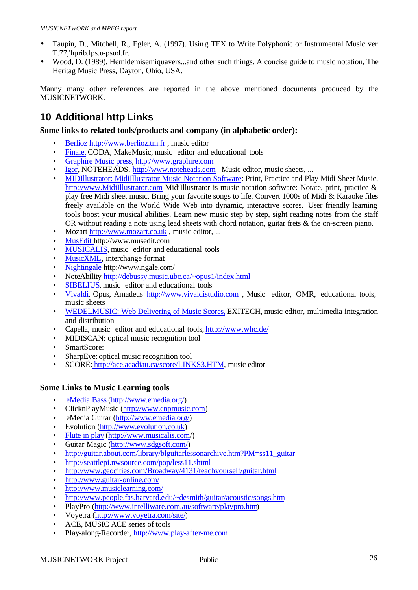- Taupin, D., Mitchell, R., Egler, A. (1997). Using TEX to Write Polyphonic or Instrumental Music ver T.77,'hprib.lps.u-psud.fr.
- Wood, D. (1989). Hemidemisemiquavers...and other such things. A concise guide to music notation, The Heritag Music Press, Dayton, Ohio, USA.

Manny many other references are reported in the above mentioned documents produced by the MUSICNETWORK.

# **10 Additional http Links**

#### **Some links to related tools/products and company (in alphabetic order):**

- Berlioz http://www.berlioz.tm.fr , music editor
- Finale, CODA, MakeMusic, music editor and educational tools
- Graphire Music press, http://www.graphire.com
- Igor, NOTEHEADS, http://www.noteheads.com Music editor, music sheets, ...
- MIDIllustrator: MidiIllustrator Music Notation Software: Print, Practice and Play Midi Sheet Music, http://www.MidiIllustrator.com MidiIllustrator is music notation software: Notate, print, practice & play free Midi sheet music. Bring your favorite songs to life. Convert 1000s of Midi & Karaoke files freely available on the World Wide Web into dynamic, interactive scores. User friendly learning tools boost your musical abilities. Learn new music step by step, sight reading notes from the staff OR without reading a note using lead sheets with chord notation, guitar frets & the on-screen piano.
- Mozart http://www.mozart.co.uk, music editor, ...
- MusEdit http://www.musedit.com
- MUSICALIS, music editor and educational tools
- MusicXML, interchange format
- Nightingale http://www.ngale.com/
- NoteAbility http://debussy.music.ubc.ca/~opus1/index.html
- **SIBELIUS**, music editor and educational tools
- Vivaldi, Opus, Amadeus http://www.vivaldistudio.com , Music editor, OMR, educational tools, music sheets
- WEDELMUSIC: Web Delivering of Music Scores, EXITECH, music editor, multimedia integration and distribution
- Capella, music editor and educational tools, http://www.whc.de/
- MIDISCAN: optical music recognition tool
- SmartScore:
- SharpEye: optical music recognition tool
- SCORE: http://ace.acadiau.ca/score/LINKS3.HTM, music editor

#### **Some Links to Music Learning tools**

- eMedia Bass (http://www.emedia.org/)
- ClicknPlayMusic (http://www.cnpmusic.com)
- eMedia Guitar (http://www.emedia.org/)
- Evolution (http://www.evolution.co.uk)
- Flute in play (http://www.musicalis.com/)
- Guitar Magic (http://www.sdgsoft.com/)
- http://guitar.about.com/library/blguitarlessonarchive.htm?PM=ss11\_guitar
- http://seattlepi.nwsource.com/pop/less11.shtml
- http://www.geocities.com/Broadway/4131/teachyourself/guitar.html
- http://www.guitar-online.com/
- http://www.musiclearning.com/
- http://www.people.fas.harvard.edu/~desmith/guitar/acoustic/songs.htm
- PlayPro (http://www.intelliware.com.au/software/playpro.htm)
- Voyetra (http://www.voyetra.com/site/)
- ACE, MUSIC ACE series of tools
- Play-along-Recorder, http://www.play-after-me.com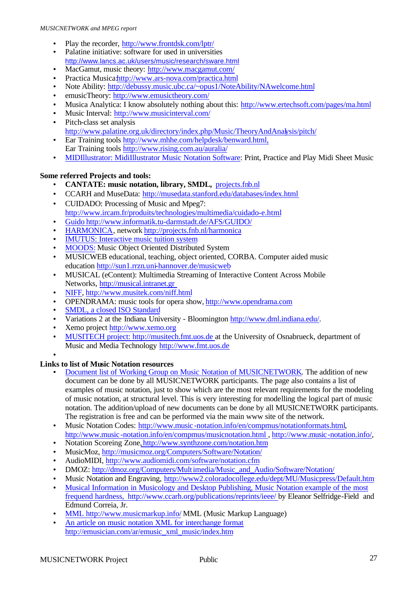- Play the recorder, http://www.frontdsk.com/lptr/
- Palatine initiative: software for used in universities http://www.lancs.ac.uk/users/music/research/sware.html
- MacGamut, music theory: http://www.macgamut.com/
- Practica Musica.http://www.ars-nova.com/practica.html
- Note Ability: http://debussy.music.ubc.ca/~opus1/NoteAbility/NAwelcome.html
- emusicTheory: http://www.emusictheory.com/
- Musica Analytica: I know absolutely nothing about this: http://www.ertechsoft.com/pages/ma.html
- Music Interval: http://www.musicinterval.com/
- Pitch-class set analysis http://www.palatine.org.uk/directory/index.php/Music/TheoryAndAnalysis/pitch/
- Ear Training tools http://www.mhhe.com/helpdesk/benward.html, Ear Training tools http://www.rising.com.au/auralia/
- MIDIllustrator: MidiIllustrator Music Notation Software: Print, Practice and Play Midi Sheet Music

#### **Some referred Projects and tools:**

- **CANTATE: music notation, library, SMDL,** projects.fnb.nl
- CCARH and MuseData: http://musedata.stanford.edu/databases/index.html • CUIDADO: Processing of Music and Mpeg7:
- http://www.ircam.fr/produits/technologies/multimedia/cuidado-e.html • Guido http://www.informatik.tu-darmstadt.de/AFS/GUIDO/
- HARMONICA, network http://projects.fnb.nl/harmonica
- 
- **IMUTUS:** Interactive music tuition system
- MOODS: Music Object Oriented Distributed System
- MUSICWEB educational, teaching, object oriented, CORBA. Computer aided music education http://sun1.rrzn.uni-hannover.de/musicweb
- MUSICAL (eContent): Multimedia Streaming of Interactive Content Across Mobile Networks, http://musical.intranet.gr
- NIFF, http://www.musitek.com/niff.html
- OPENDRAMA: music tools for opera show, http://www.opendrama.com
- SMDL, a closed ISO Standard
- Variations 2 at the Indiana University Bloomington  $\frac{http://www.dml-indiana.edu/}{http://www.dml-indiana.edu/}{$
- Xemo project http://www.xemo.org
- MUSITECH project: http://musitech.fmt.uos.de at the University of Osnabrueck, department of Music and Media Technology http://www.fmt.uos.de

#### •

#### **Links to list of Music Notation resources**

- Document list of Working Group on Music Notation of MUSICNETWORK. The addition of new document can be done by all MUSICNETWORK participants. The page also contains a list of examples of music notation, just to show which are the most relevant requirements for the modeling of music notation, at structural level. This is very interesting for modelling the logical part of music notation. The addition/upload of new documents can be done by all MUSICNETWORK participants. The registration is free and can be performed via the main www site of the network.
- Music Notation Codes: http://www.music-notation.info/en/compmus/notationformats.html, http://www.music -notation.info/en/compmus/musicnotation.html , http://www.music-notation.info/,
- Notation Scoreing Zone, http://www.synthzone.com/notation.htm
- MusicMoz, http://musicmoz.org/Computers/Software/Notation/
- AudioMIDI, http://www.audiomidi.com/software/notation.cfm
- DMOZ: http://dmoz.org/Computers/Multimedia/Music\_and\_Audio/Software/Notation/
- Music Notation and Engraving, http://www2.coloradocollege.edu/dept/MU/Musicpress/Default.htm
- Musical Information in Musicology and Desktop Publishing, Music Notation example of the most frequend hardness, http://www.ccarh.org/publications/reprints/ieee/ by Eleanor Selfridge-Field and Edmund Correia, Jr.
- MML http://www.musicmarkup.info/ MML (Music Markup Language)
- An article on music notation XML for interchange format http://emusician.com/ar/emusic\_xml\_music/index.htm